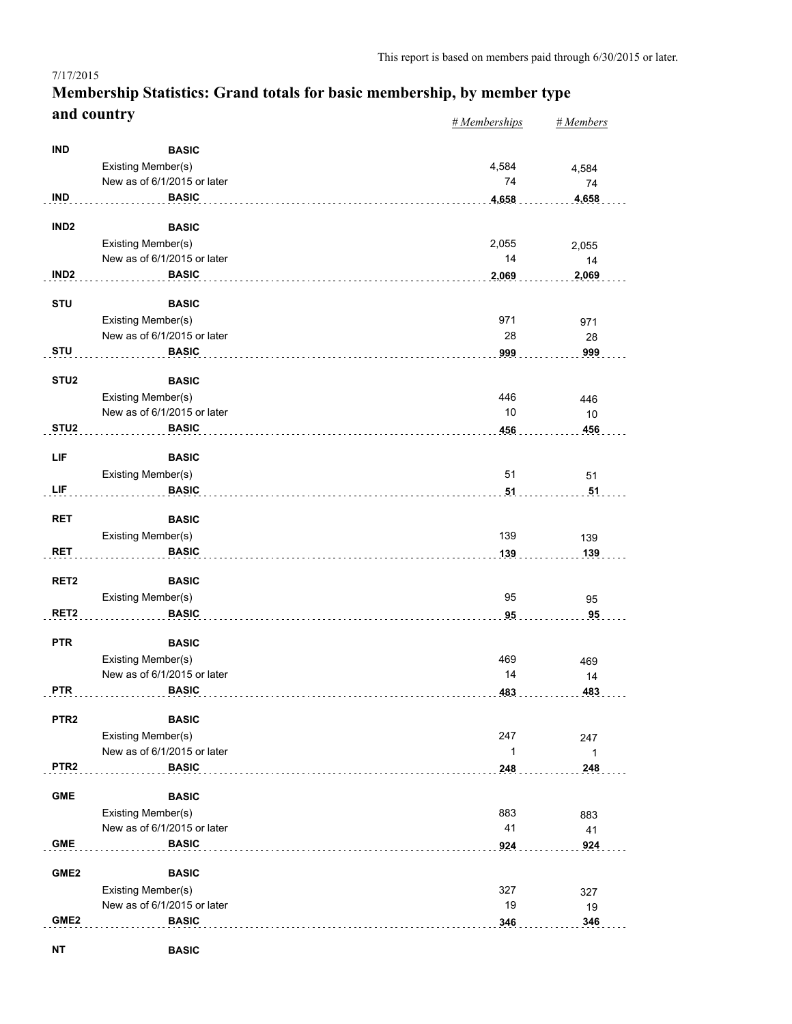#### *# Memberships # Members* **Membership Statistics: Grand totals for basic membership, by member type and country**

|                  |                                                   | <u>H</u> memberships | $H$ <i>wienwers</i> |
|------------------|---------------------------------------------------|----------------------|---------------------|
| <b>IND</b>       | <b>BASIC</b>                                      |                      |                     |
|                  |                                                   |                      |                     |
|                  | Existing Member(s)                                | 4,584                | 4,584               |
|                  | New as of 6/1/2015 or later                       | 74                   | 74                  |
| <b>IND</b>       | <b>BASIC</b>                                      | 4,658<br>.           | 4,658               |
| IND <sub>2</sub> | <b>BASIC</b>                                      |                      |                     |
|                  |                                                   |                      |                     |
|                  | Existing Member(s)<br>New as of 6/1/2015 or later | 2,055                | 2,055               |
|                  |                                                   | 14                   | 14                  |
| IND <sub>2</sub> | <b>BASIC</b>                                      | 2,069                | 2,069               |
| <b>STU</b>       | <b>BASIC</b>                                      |                      |                     |
|                  |                                                   |                      |                     |
|                  | Existing Member(s)                                | 971                  | 971                 |
|                  | New as of 6/1/2015 or later                       | 28                   | 28                  |
| <b>STU</b>       | <b>BASIC</b>                                      | 999                  | 999                 |
| STU <sub>2</sub> | <b>BASIC</b>                                      |                      |                     |
|                  |                                                   |                      |                     |
|                  | Existing Member(s)<br>New as of 6/1/2015 or later | 446<br>10            | 446                 |
|                  |                                                   |                      | 10                  |
| STU <sub>2</sub> | <b>BASIC</b>                                      | 456                  | 456                 |
| LIF              | <b>BASIC</b>                                      |                      |                     |
|                  |                                                   |                      |                     |
|                  | Existing Member(s)                                | 51                   | 51                  |
| LIF              | <b>BASIC</b>                                      | 51                   | 51                  |
| <b>RET</b>       | <b>BASIC</b>                                      |                      |                     |
|                  |                                                   |                      |                     |
|                  | <b>Existing Member(s)</b>                         | 139                  | 139                 |
| <b>RET</b>       | <b>BASIC</b>                                      | 139                  | 139                 |
| RET <sub>2</sub> | <b>BASIC</b>                                      |                      |                     |
|                  |                                                   |                      |                     |
|                  | Existing Member(s)                                | 95                   | 95                  |
| RET <sub>2</sub> | <b>BASIC</b>                                      | 95                   | 95                  |
| <b>PTR</b>       | <b>BASIC</b>                                      |                      |                     |
|                  |                                                   |                      |                     |
|                  | Existing Member(s)                                | 469                  | 469                 |
|                  | New as of 6/1/2015 or later                       | 14                   | 14                  |
| <b>PTR</b>       | <b>BASIC</b>                                      | 483                  | 483                 |
| PTR <sub>2</sub> | <b>BASIC</b>                                      |                      |                     |
|                  |                                                   |                      |                     |
|                  | Existing Member(s)                                | 247                  | 247                 |
|                  | New as of 6/1/2015 or later                       | 1                    | 1                   |
| PTR <sub>2</sub> | <b>BASIC</b>                                      | 248                  | 248                 |
| <b>GME</b>       | <b>BASIC</b>                                      |                      |                     |
|                  |                                                   |                      |                     |
|                  | Existing Member(s)                                | 883                  | 883                 |
|                  | New as of 6/1/2015 or later                       | 41                   | 41                  |
| ${\sf GME}$      | <b>BASIC</b>                                      | 924                  | 924                 |
|                  |                                                   |                      |                     |
| GME <sub>2</sub> | <b>BASIC</b>                                      |                      |                     |
|                  | Existing Member(s)                                | 327                  | 327                 |
|                  | New as of 6/1/2015 or later                       | 19                   | 19                  |
| GME <sub>2</sub> | <b>BASIC</b>                                      | 346                  | 346                 |
|                  |                                                   |                      |                     |

7/17/2015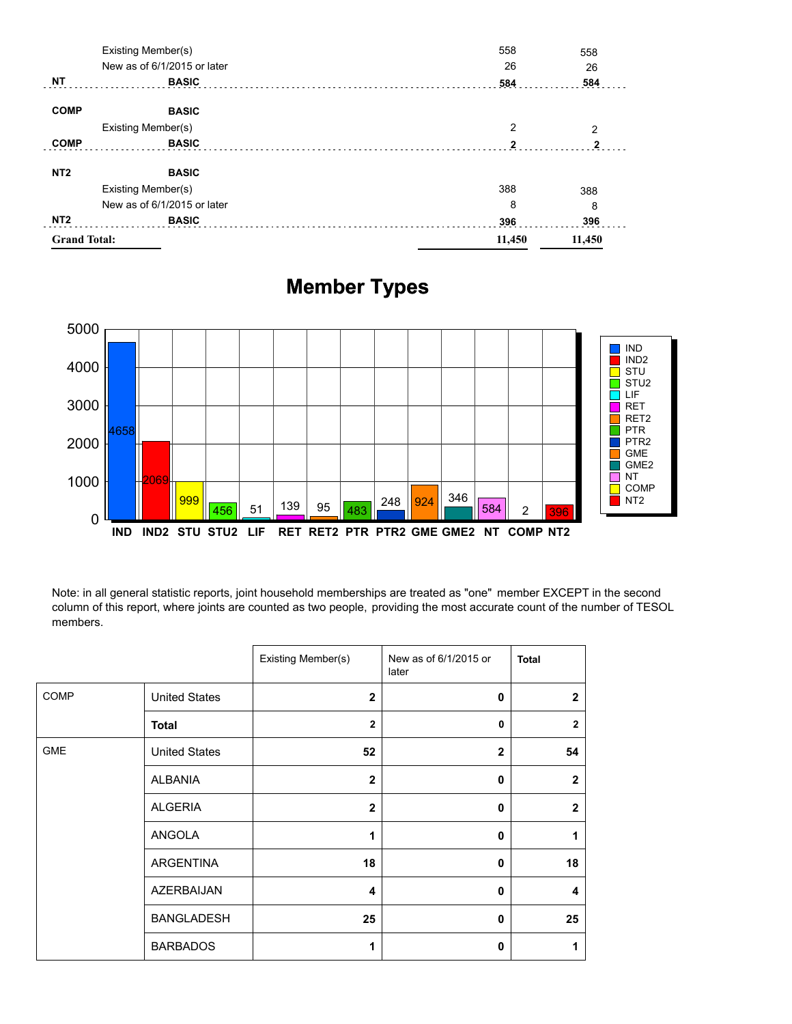| <b>Grand Total:</b> |                             | 11,450 | 11,450 |
|---------------------|-----------------------------|--------|--------|
| NT <sub>2</sub>     | <b>BASIC</b>                | 396    | 396    |
|                     | New as of 6/1/2015 or later | 8      | 8      |
|                     | Existing Member(s)          | 388    | 388    |
| NT <sub>2</sub>     | <b>BASIC</b>                |        |        |
| <b>COMP</b>         | <b>BASIC</b>                | 2      | 2      |
|                     | Existing Member(s)          | 2      | 2      |
| <b>COMP</b>         | <b>BASIC</b>                |        |        |
| NΤ                  | <b>BASIC</b>                | 584    | 584    |
|                     | New as of 6/1/2015 or later | 26     | 26     |
| Existing Member(s)  |                             | 558    |        |

## **Member Types**



Note: in all general statistic reports, joint household memberships are treated as "one" member EXCEPT in the second column of this report, where joints are counted as two people, providing the most accurate count of the number of TESOL members.

|             |                      | Existing Member(s) | New as of 6/1/2015 or<br>later | <b>Total</b>   |
|-------------|----------------------|--------------------|--------------------------------|----------------|
| <b>COMP</b> | <b>United States</b> | $\mathbf{2}$       | 0                              | $\overline{2}$ |
|             | <b>Total</b>         | $\overline{2}$     | 0                              | $\overline{2}$ |
| <b>GME</b>  | <b>United States</b> | 52                 | $\mathbf{2}$                   | 54             |
|             | <b>ALBANIA</b>       | $\overline{2}$     | 0                              | $\overline{2}$ |
|             | <b>ALGERIA</b>       | $\overline{2}$     | 0                              | $\overline{2}$ |
|             | ANGOLA               | 1                  | 0                              | 1              |
|             | ARGENTINA            | 18                 | 0                              | 18             |
|             | AZERBAIJAN           | 4                  | 0                              | 4              |
|             | <b>BANGLADESH</b>    | 25                 | 0                              | 25             |
|             | <b>BARBADOS</b>      | 1                  | 0                              | 1              |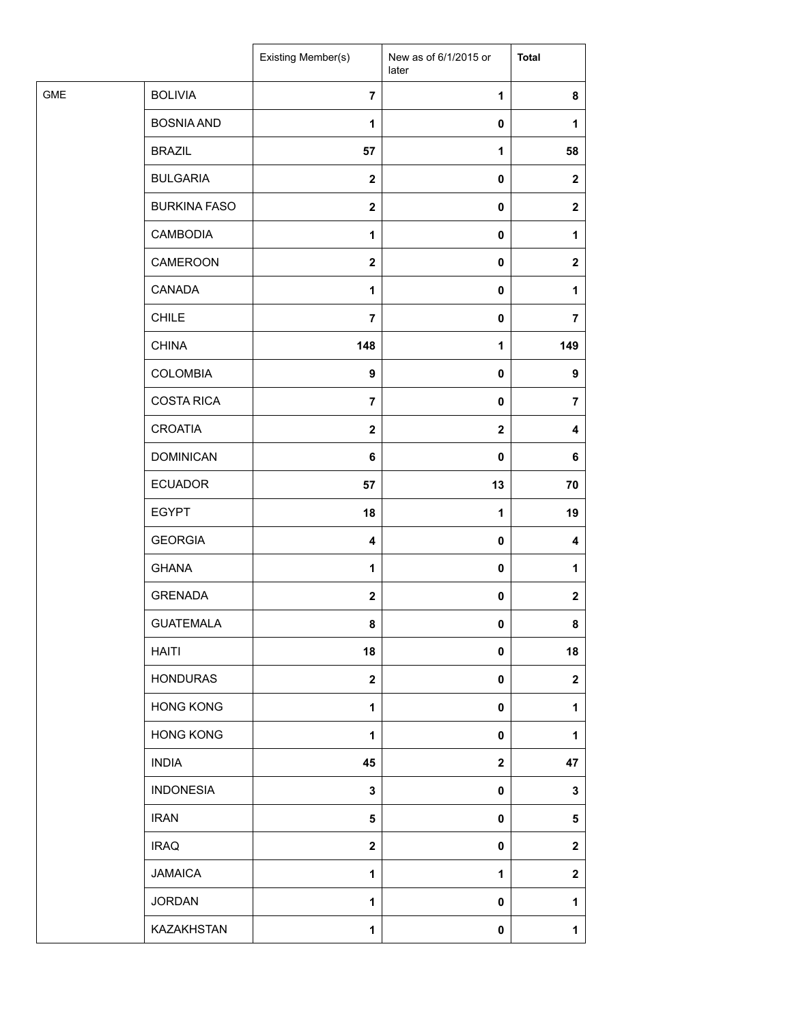|                              |                     | Existing Member(s) | New as of 6/1/2015 or<br>later | <b>Total</b>   |
|------------------------------|---------------------|--------------------|--------------------------------|----------------|
| <b>GME</b><br><b>BOLIVIA</b> |                     | $\overline{7}$     | 1                              | 8              |
|                              | <b>BOSNIA AND</b>   | $\mathbf{1}$       | $\pmb{0}$                      | $\mathbf{1}$   |
| <b>BRAZIL</b>                |                     | 57                 | 1                              | 58             |
| <b>BULGARIA</b>              |                     | $\mathbf{2}$       | 0                              | $\mathbf{2}$   |
|                              | <b>BURKINA FASO</b> | $\boldsymbol{2}$   | 0                              | $\mathbf{2}$   |
|                              | <b>CAMBODIA</b>     | 1                  | 0                              | $\mathbf{1}$   |
|                              | CAMEROON            | $\mathbf 2$        | $\pmb{0}$                      | $\mathbf{2}$   |
| CANADA                       |                     | 1                  | $\pmb{0}$                      | 1              |
| <b>CHILE</b>                 |                     | $\overline{7}$     | 0                              | $\overline{7}$ |
| <b>CHINA</b>                 |                     | 148                | 1                              | 149            |
|                              | <b>COLOMBIA</b>     | 9                  | 0                              | 9              |
|                              | <b>COSTA RICA</b>   | $\overline{7}$     | 0                              | $\overline{7}$ |
| <b>CROATIA</b>               |                     | $\mathbf 2$        | $\mathbf 2$                    | 4              |
|                              | <b>DOMINICAN</b>    | 6                  | 0                              | 6              |
| <b>ECUADOR</b>               |                     | 57                 | 13                             | 70             |
| <b>EGYPT</b>                 |                     | 18                 | $\mathbf{1}$                   | 19             |
| <b>GEORGIA</b>               |                     | 4                  | $\pmb{0}$                      | 4              |
| <b>GHANA</b>                 |                     | 1                  | 0                              | 1              |
| <b>GRENADA</b>               |                     | $\mathbf 2$        | $\pmb{0}$                      | $\mathbf 2$    |
|                              | <b>GUATEMALA</b>    | 8                  | $\pmb{0}$                      | 8              |
| <b>HAITI</b>                 |                     | 18                 | 0                              | 18             |
|                              | <b>HONDURAS</b>     | $\mathbf 2$        | 0                              | $\mathbf 2$    |
|                              | <b>HONG KONG</b>    | 1                  | 0                              | $\mathbf{1}$   |
|                              | <b>HONG KONG</b>    | $\mathbf{1}$       | 0                              | 1              |
| <b>INDIA</b>                 |                     | 45                 | $\mathbf 2$                    | 47             |
|                              | <b>INDONESIA</b>    | 3                  | $\pmb{0}$                      | 3              |
| <b>IRAN</b>                  |                     | 5                  | 0                              | 5              |
| <b>IRAQ</b>                  |                     | $\mathbf 2$        | 0                              | $\mathbf 2$    |
| <b>JAMAICA</b>               |                     | 1                  | 1                              | $\mathbf 2$    |
| <b>JORDAN</b>                |                     | 1                  | 0                              | 1              |
|                              | KAZAKHSTAN          | $\mathbf{1}$       | 0                              | $\mathbf{1}$   |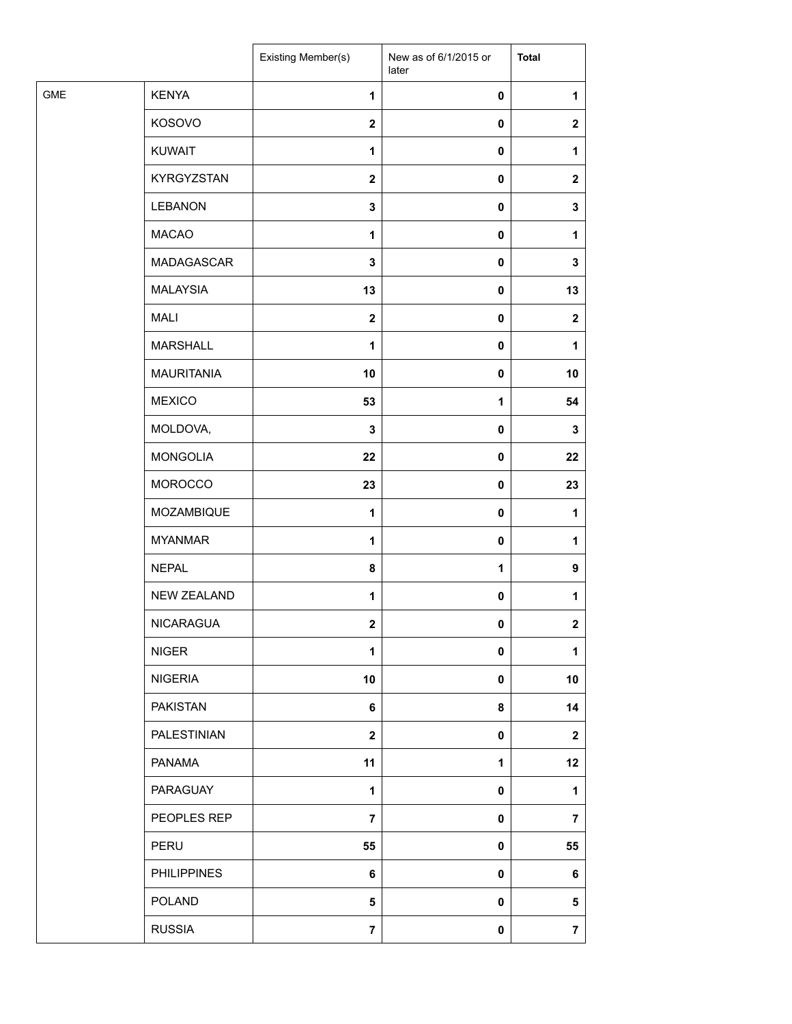| <b>GME</b><br><b>KENYA</b><br>$\mathbf{1}$<br>$\pmb{0}$<br>KOSOVO<br>$\boldsymbol{2}$<br>$\pmb{0}$<br><b>KUWAIT</b><br>1<br>$\pmb{0}$<br><b>KYRGYZSTAN</b><br>$\mathbf{2}$<br>$\pmb{0}$<br><b>LEBANON</b><br>3<br>0<br><b>MACAO</b><br>1<br>$\pmb{0}$<br>MADAGASCAR<br>$\mathbf 3$<br>$\pmb{0}$<br><b>MALAYSIA</b><br>13<br>$\pmb{0}$<br><b>MALI</b><br>$\boldsymbol{2}$<br>$\pmb{0}$<br><b>MARSHALL</b><br>1<br>$\pmb{0}$<br><b>MAURITANIA</b><br>10<br>$\pmb{0}$<br><b>MEXICO</b><br>53<br>$\mathbf{1}$<br>MOLDOVA,<br>3<br>$\pmb{0}$<br><b>MONGOLIA</b><br>22<br>$\pmb{0}$<br><b>MOROCCO</b><br>23<br>$\pmb{0}$<br>MOZAMBIQUE<br>$\mathbf{1}$<br>$\pmb{0}$<br><b>MYANMAR</b><br>$\mathbf{1}$<br>$\pmb{0}$<br><b>NEPAL</b><br>8<br>1<br><b>NEW ZEALAND</b><br>$\mathbf{1}$<br>$\pmb{0}$<br>NICARAGUA<br>$\mathbf{2}$<br>$\mathbf 0$<br><b>NIGER</b><br>$\mathbf{1}$<br>$\pmb{0}$<br><b>NIGERIA</b><br>10<br>$\pmb{0}$<br><b>PAKISTAN</b><br>6<br>8<br>PALESTINIAN<br>$\mathbf{2}$<br>$\pmb{0}$ |                  |
|--------------------------------------------------------------------------------------------------------------------------------------------------------------------------------------------------------------------------------------------------------------------------------------------------------------------------------------------------------------------------------------------------------------------------------------------------------------------------------------------------------------------------------------------------------------------------------------------------------------------------------------------------------------------------------------------------------------------------------------------------------------------------------------------------------------------------------------------------------------------------------------------------------------------------------------------------------------------------------------------------|------------------|
|                                                                                                                                                                                                                                                                                                                                                                                                                                                                                                                                                                                                                                                                                                                                                                                                                                                                                                                                                                                                  | 1                |
|                                                                                                                                                                                                                                                                                                                                                                                                                                                                                                                                                                                                                                                                                                                                                                                                                                                                                                                                                                                                  | $\mathbf{2}$     |
|                                                                                                                                                                                                                                                                                                                                                                                                                                                                                                                                                                                                                                                                                                                                                                                                                                                                                                                                                                                                  | 1                |
|                                                                                                                                                                                                                                                                                                                                                                                                                                                                                                                                                                                                                                                                                                                                                                                                                                                                                                                                                                                                  | $\boldsymbol{2}$ |
|                                                                                                                                                                                                                                                                                                                                                                                                                                                                                                                                                                                                                                                                                                                                                                                                                                                                                                                                                                                                  | 3                |
|                                                                                                                                                                                                                                                                                                                                                                                                                                                                                                                                                                                                                                                                                                                                                                                                                                                                                                                                                                                                  | 1                |
|                                                                                                                                                                                                                                                                                                                                                                                                                                                                                                                                                                                                                                                                                                                                                                                                                                                                                                                                                                                                  | 3                |
|                                                                                                                                                                                                                                                                                                                                                                                                                                                                                                                                                                                                                                                                                                                                                                                                                                                                                                                                                                                                  | 13               |
|                                                                                                                                                                                                                                                                                                                                                                                                                                                                                                                                                                                                                                                                                                                                                                                                                                                                                                                                                                                                  | $\mathbf{2}$     |
|                                                                                                                                                                                                                                                                                                                                                                                                                                                                                                                                                                                                                                                                                                                                                                                                                                                                                                                                                                                                  | 1                |
|                                                                                                                                                                                                                                                                                                                                                                                                                                                                                                                                                                                                                                                                                                                                                                                                                                                                                                                                                                                                  | 10               |
|                                                                                                                                                                                                                                                                                                                                                                                                                                                                                                                                                                                                                                                                                                                                                                                                                                                                                                                                                                                                  | 54               |
|                                                                                                                                                                                                                                                                                                                                                                                                                                                                                                                                                                                                                                                                                                                                                                                                                                                                                                                                                                                                  | 3                |
|                                                                                                                                                                                                                                                                                                                                                                                                                                                                                                                                                                                                                                                                                                                                                                                                                                                                                                                                                                                                  | 22               |
|                                                                                                                                                                                                                                                                                                                                                                                                                                                                                                                                                                                                                                                                                                                                                                                                                                                                                                                                                                                                  | 23               |
|                                                                                                                                                                                                                                                                                                                                                                                                                                                                                                                                                                                                                                                                                                                                                                                                                                                                                                                                                                                                  | 1                |
|                                                                                                                                                                                                                                                                                                                                                                                                                                                                                                                                                                                                                                                                                                                                                                                                                                                                                                                                                                                                  | 1                |
|                                                                                                                                                                                                                                                                                                                                                                                                                                                                                                                                                                                                                                                                                                                                                                                                                                                                                                                                                                                                  | 9                |
|                                                                                                                                                                                                                                                                                                                                                                                                                                                                                                                                                                                                                                                                                                                                                                                                                                                                                                                                                                                                  | 1                |
|                                                                                                                                                                                                                                                                                                                                                                                                                                                                                                                                                                                                                                                                                                                                                                                                                                                                                                                                                                                                  | $\mathbf{2}$     |
|                                                                                                                                                                                                                                                                                                                                                                                                                                                                                                                                                                                                                                                                                                                                                                                                                                                                                                                                                                                                  | 1                |
|                                                                                                                                                                                                                                                                                                                                                                                                                                                                                                                                                                                                                                                                                                                                                                                                                                                                                                                                                                                                  | 10               |
|                                                                                                                                                                                                                                                                                                                                                                                                                                                                                                                                                                                                                                                                                                                                                                                                                                                                                                                                                                                                  | 14               |
|                                                                                                                                                                                                                                                                                                                                                                                                                                                                                                                                                                                                                                                                                                                                                                                                                                                                                                                                                                                                  | $\mathbf{2}$     |
| PANAMA<br>11<br>1                                                                                                                                                                                                                                                                                                                                                                                                                                                                                                                                                                                                                                                                                                                                                                                                                                                                                                                                                                                | 12               |
| PARAGUAY<br>1<br>0                                                                                                                                                                                                                                                                                                                                                                                                                                                                                                                                                                                                                                                                                                                                                                                                                                                                                                                                                                               | 1                |
| PEOPLES REP<br>$\overline{7}$<br>$\pmb{0}$                                                                                                                                                                                                                                                                                                                                                                                                                                                                                                                                                                                                                                                                                                                                                                                                                                                                                                                                                       | $\overline{7}$   |
| PERU<br>55<br>$\pmb{0}$                                                                                                                                                                                                                                                                                                                                                                                                                                                                                                                                                                                                                                                                                                                                                                                                                                                                                                                                                                          | 55               |
| <b>PHILIPPINES</b><br>6<br>$\pmb{0}$                                                                                                                                                                                                                                                                                                                                                                                                                                                                                                                                                                                                                                                                                                                                                                                                                                                                                                                                                             | 6                |
| <b>POLAND</b><br>5<br>$\pmb{0}$                                                                                                                                                                                                                                                                                                                                                                                                                                                                                                                                                                                                                                                                                                                                                                                                                                                                                                                                                                  | 5                |
| <b>RUSSIA</b><br>$\overline{7}$<br>$\pmb{0}$                                                                                                                                                                                                                                                                                                                                                                                                                                                                                                                                                                                                                                                                                                                                                                                                                                                                                                                                                     | $\overline{7}$   |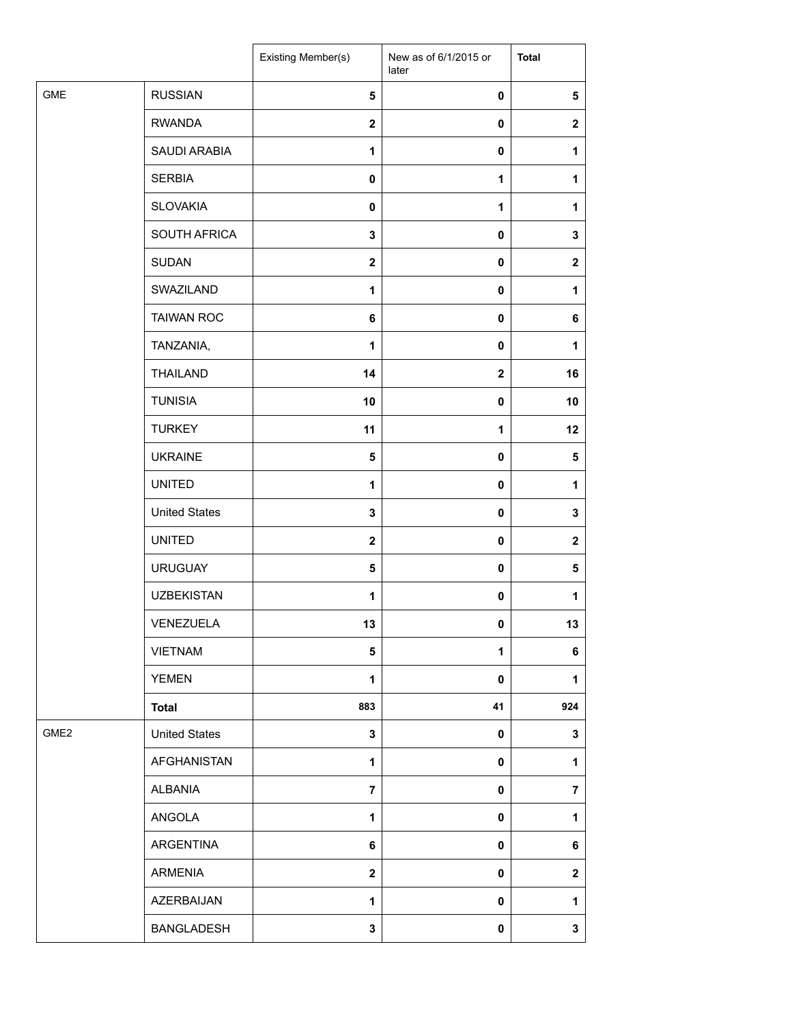|                  |                      | Existing Member(s)      | New as of 6/1/2015 or<br>later | <b>Total</b>     |
|------------------|----------------------|-------------------------|--------------------------------|------------------|
| <b>GME</b>       | <b>RUSSIAN</b>       | $\overline{\mathbf{5}}$ | 0                              | $\sqrt{5}$       |
|                  | <b>RWANDA</b>        | $\boldsymbol{2}$        | $\mathbf 0$                    | $\mathbf 2$      |
|                  | SAUDI ARABIA         | 1                       | 0                              | 1                |
|                  | <b>SERBIA</b>        | 0                       | 1                              | 1                |
|                  | <b>SLOVAKIA</b>      | $\mathbf 0$             | 1                              | 1                |
|                  | SOUTH AFRICA         | 3                       | $\mathbf 0$                    | $\mathbf 3$      |
|                  | <b>SUDAN</b>         | $\boldsymbol{2}$        | 0                              | $\boldsymbol{2}$ |
|                  | SWAZILAND            | 1                       | 0                              | 1                |
|                  | <b>TAIWAN ROC</b>    | 6                       | 0                              | 6                |
|                  | TANZANIA,            | 1                       | 0                              | 1                |
|                  | <b>THAILAND</b>      | 14                      | $\overline{\mathbf{2}}$        | 16               |
|                  | <b>TUNISIA</b>       | 10                      | $\pmb{0}$                      | 10               |
|                  | <b>TURKEY</b>        | 11                      | 1                              | 12               |
|                  | <b>UKRAINE</b>       | 5                       | 0                              | 5                |
|                  | <b>UNITED</b>        | 1                       | 0                              | 1                |
|                  | <b>United States</b> | 3                       | 0                              | 3                |
|                  | <b>UNITED</b>        | $\mathbf{2}$            | $\pmb{0}$                      | $\mathbf{2}$     |
|                  | <b>URUGUAY</b>       | $\overline{\mathbf{5}}$ | $\mathbf 0$                    | 5                |
|                  | <b>UZBEKISTAN</b>    | 1                       | 0                              | 1                |
|                  | VENEZUELA            | 13                      | 0                              | 13               |
|                  | <b>VIETNAM</b>       | 5                       | 1                              | 6                |
|                  | <b>YEMEN</b>         | 1                       | 0                              | 1                |
|                  | <b>Total</b>         | 883                     | 41                             | 924              |
| GME <sub>2</sub> | <b>United States</b> | $\mathbf 3$             | 0                              | $\mathbf 3$      |
|                  | AFGHANISTAN          | 1                       | 0                              | 1                |
|                  | <b>ALBANIA</b>       | $\overline{7}$          | 0                              | $\overline{7}$   |
|                  | ANGOLA               | $\mathbf{1}$            | 0                              | $\mathbf{1}$     |
|                  | ARGENTINA            | 6                       | 0                              | 6                |
|                  | ARMENIA              | $\overline{\mathbf{2}}$ | 0                              | $\mathbf 2$      |
|                  | AZERBAIJAN           | 1                       | 0                              | 1                |
|                  | <b>BANGLADESH</b>    | 3                       | 0                              | $\mathbf{3}$     |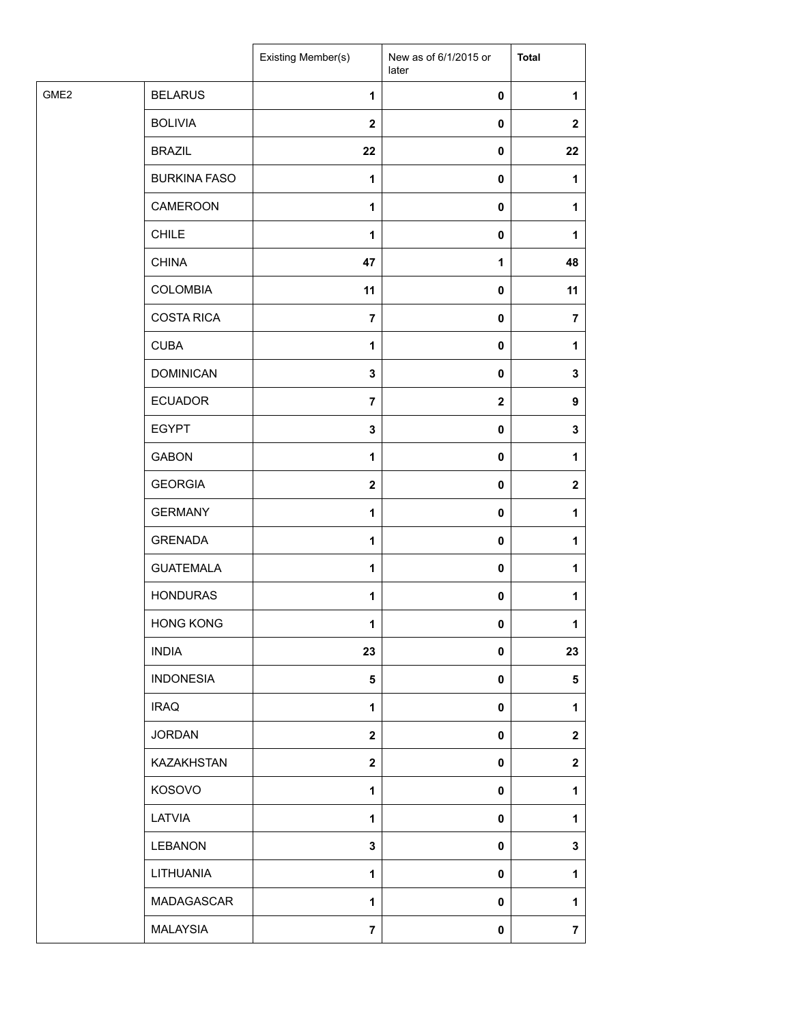|                  |                     | Existing Member(s)      | New as of 6/1/2015 or<br>later | <b>Total</b>            |
|------------------|---------------------|-------------------------|--------------------------------|-------------------------|
| GME <sub>2</sub> | <b>BELARUS</b>      | $\mathbf{1}$            | 0                              | 1                       |
|                  | <b>BOLIVIA</b>      | $\mathbf{2}$            | 0                              | $\mathbf{2}$            |
|                  | <b>BRAZIL</b>       | 22                      | 0                              | 22                      |
|                  | <b>BURKINA FASO</b> | $\mathbf 1$             | 0                              | 1                       |
|                  | CAMEROON            | 1                       | 0                              | 1                       |
|                  | <b>CHILE</b>        | 1                       | 0                              | 1                       |
|                  | <b>CHINA</b>        | 47                      | $\mathbf 1$                    | 48                      |
|                  | COLOMBIA            | 11                      | $\pmb{0}$                      | 11                      |
|                  | <b>COSTA RICA</b>   | $\overline{7}$          | 0                              | $\overline{7}$          |
|                  | <b>CUBA</b>         | 1                       | 0                              | 1                       |
|                  | <b>DOMINICAN</b>    | 3                       | 0                              | 3                       |
|                  | <b>ECUADOR</b>      | $\overline{7}$          | $\mathbf 2$                    | 9                       |
|                  | <b>EGYPT</b>        | $\mathbf 3$             | $\pmb{0}$                      | 3                       |
|                  | <b>GABON</b>        | 1                       | 0                              | 1                       |
|                  | <b>GEORGIA</b>      | $\overline{\mathbf{2}}$ | 0                              | $\mathbf 2$             |
|                  | <b>GERMANY</b>      | $\mathbf{1}$            | 0                              | $\mathbf{1}$            |
|                  | <b>GRENADA</b>      | 1                       | 0                              | 1                       |
|                  | <b>GUATEMALA</b>    | 1                       | 0                              | 1                       |
|                  | <b>HONDURAS</b>     | $\mathbf{1}$            | $\pmb{0}$                      | 1                       |
|                  | <b>HONG KONG</b>    | 1                       | 0                              | 1                       |
|                  | <b>INDIA</b>        | 23                      | 0                              | 23                      |
|                  | <b>INDONESIA</b>    | $\sqrt{5}$              | 0                              | 5                       |
|                  | <b>IRAQ</b>         | $\mathbf{1}$            | 0                              | 1                       |
|                  | <b>JORDAN</b>       | $\mathbf{2}$            | 0                              | $\mathbf 2$             |
|                  | KAZAKHSTAN          | $\mathbf 2$             | 0                              | $\mathbf{2}$            |
|                  | KOSOVO              | $\mathbf{1}$            | 0                              | 1                       |
|                  | LATVIA              | $\mathbf{1}$            | 0                              | 1                       |
|                  | <b>LEBANON</b>      | $\mathbf 3$             | 0                              | 3                       |
|                  | LITHUANIA           | 1                       | 0                              | 1                       |
|                  | MADAGASCAR          | 1                       | 0                              | 1                       |
|                  | <b>MALAYSIA</b>     | $\overline{7}$          | 0                              | $\overline{\mathbf{7}}$ |
|                  |                     |                         |                                |                         |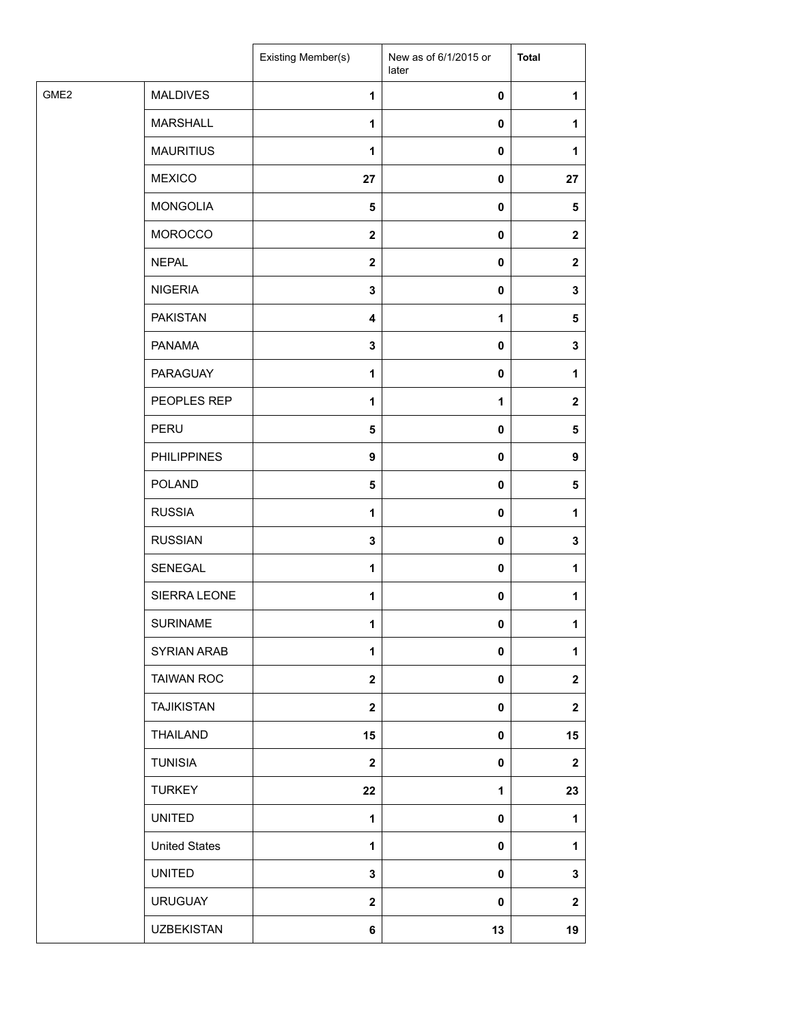| GME <sub>2</sub><br><b>MALDIVES</b><br>1<br>0<br>1<br><b>MARSHALL</b><br>$\mathbf{1}$<br>0<br>1<br><b>MAURITIUS</b><br>$\mathbf{1}$<br>0<br>1<br><b>MEXICO</b><br>27<br>0<br>27<br><b>MONGOLIA</b><br>$\sqrt{5}$<br>0<br>5<br><b>MOROCCO</b><br>$\mathbf{2}$<br>0<br>$\mathbf{2}$<br><b>NEPAL</b><br>$\overline{\mathbf{2}}$<br>0<br>$\mathbf{2}$<br><b>NIGERIA</b><br>3<br>0<br>3<br><b>PAKISTAN</b><br>$\overline{\mathbf{4}}$<br>1<br>$\sqrt{5}$<br><b>PANAMA</b><br>$\mathbf 3$<br>0<br>3<br>PARAGUAY<br>1<br>0<br>1<br>PEOPLES REP<br>1<br>1<br>$\mathbf{2}$<br>PERU<br>$\pmb{0}$<br>$\sqrt{5}$<br>$\sqrt{5}$<br><b>PHILIPPINES</b><br>9<br>0<br>9<br><b>POLAND</b><br>$\overline{\mathbf{5}}$<br>0<br>$\sqrt{5}$<br><b>RUSSIA</b><br>$\mathbf{1}$<br>0<br>1<br><b>RUSSIAN</b><br>3<br>0<br>3<br>SENEGAL<br>1<br>0<br>1<br>SIERRA LEONE<br>$\mathbf{1}$<br>0<br>1<br><b>SURINAME</b><br>1<br>$\mathbf{0}$<br>1<br>SYRIAN ARAB<br>1<br>0<br>1<br><b>TAIWAN ROC</b><br>$\mathbf{2}$<br>0<br>$\mathbf 2$<br><b>TAJIKISTAN</b><br>$\mathbf{2}$<br>0<br>$\mathbf 2$<br>THAILAND<br>15<br>0<br>15<br><b>TUNISIA</b><br>$\mathbf{2}$<br>$\overline{\mathbf{2}}$<br>0<br><b>TURKEY</b><br>22<br>23<br>1<br><b>UNITED</b><br>$\mathbf{1}$<br>0<br>1<br><b>United States</b><br>1<br>0<br>1<br><b>UNITED</b><br>$\mathbf 3$<br>0<br>3<br><b>URUGUAY</b><br>$\mathbf 2$<br>$\pmb{0}$<br>$\mathbf 2$<br><b>UZBEKISTAN</b><br>6<br>13<br>19 |  | Existing Member(s) | New as of 6/1/2015 or<br>later | <b>Total</b> |
|-------------------------------------------------------------------------------------------------------------------------------------------------------------------------------------------------------------------------------------------------------------------------------------------------------------------------------------------------------------------------------------------------------------------------------------------------------------------------------------------------------------------------------------------------------------------------------------------------------------------------------------------------------------------------------------------------------------------------------------------------------------------------------------------------------------------------------------------------------------------------------------------------------------------------------------------------------------------------------------------------------------------------------------------------------------------------------------------------------------------------------------------------------------------------------------------------------------------------------------------------------------------------------------------------------------------------------------------------------------------------------------------------------------------------------------|--|--------------------|--------------------------------|--------------|
|                                                                                                                                                                                                                                                                                                                                                                                                                                                                                                                                                                                                                                                                                                                                                                                                                                                                                                                                                                                                                                                                                                                                                                                                                                                                                                                                                                                                                                     |  |                    |                                |              |
|                                                                                                                                                                                                                                                                                                                                                                                                                                                                                                                                                                                                                                                                                                                                                                                                                                                                                                                                                                                                                                                                                                                                                                                                                                                                                                                                                                                                                                     |  |                    |                                |              |
|                                                                                                                                                                                                                                                                                                                                                                                                                                                                                                                                                                                                                                                                                                                                                                                                                                                                                                                                                                                                                                                                                                                                                                                                                                                                                                                                                                                                                                     |  |                    |                                |              |
|                                                                                                                                                                                                                                                                                                                                                                                                                                                                                                                                                                                                                                                                                                                                                                                                                                                                                                                                                                                                                                                                                                                                                                                                                                                                                                                                                                                                                                     |  |                    |                                |              |
|                                                                                                                                                                                                                                                                                                                                                                                                                                                                                                                                                                                                                                                                                                                                                                                                                                                                                                                                                                                                                                                                                                                                                                                                                                                                                                                                                                                                                                     |  |                    |                                |              |
|                                                                                                                                                                                                                                                                                                                                                                                                                                                                                                                                                                                                                                                                                                                                                                                                                                                                                                                                                                                                                                                                                                                                                                                                                                                                                                                                                                                                                                     |  |                    |                                |              |
|                                                                                                                                                                                                                                                                                                                                                                                                                                                                                                                                                                                                                                                                                                                                                                                                                                                                                                                                                                                                                                                                                                                                                                                                                                                                                                                                                                                                                                     |  |                    |                                |              |
|                                                                                                                                                                                                                                                                                                                                                                                                                                                                                                                                                                                                                                                                                                                                                                                                                                                                                                                                                                                                                                                                                                                                                                                                                                                                                                                                                                                                                                     |  |                    |                                |              |
|                                                                                                                                                                                                                                                                                                                                                                                                                                                                                                                                                                                                                                                                                                                                                                                                                                                                                                                                                                                                                                                                                                                                                                                                                                                                                                                                                                                                                                     |  |                    |                                |              |
|                                                                                                                                                                                                                                                                                                                                                                                                                                                                                                                                                                                                                                                                                                                                                                                                                                                                                                                                                                                                                                                                                                                                                                                                                                                                                                                                                                                                                                     |  |                    |                                |              |
|                                                                                                                                                                                                                                                                                                                                                                                                                                                                                                                                                                                                                                                                                                                                                                                                                                                                                                                                                                                                                                                                                                                                                                                                                                                                                                                                                                                                                                     |  |                    |                                |              |
|                                                                                                                                                                                                                                                                                                                                                                                                                                                                                                                                                                                                                                                                                                                                                                                                                                                                                                                                                                                                                                                                                                                                                                                                                                                                                                                                                                                                                                     |  |                    |                                |              |
|                                                                                                                                                                                                                                                                                                                                                                                                                                                                                                                                                                                                                                                                                                                                                                                                                                                                                                                                                                                                                                                                                                                                                                                                                                                                                                                                                                                                                                     |  |                    |                                |              |
|                                                                                                                                                                                                                                                                                                                                                                                                                                                                                                                                                                                                                                                                                                                                                                                                                                                                                                                                                                                                                                                                                                                                                                                                                                                                                                                                                                                                                                     |  |                    |                                |              |
|                                                                                                                                                                                                                                                                                                                                                                                                                                                                                                                                                                                                                                                                                                                                                                                                                                                                                                                                                                                                                                                                                                                                                                                                                                                                                                                                                                                                                                     |  |                    |                                |              |
|                                                                                                                                                                                                                                                                                                                                                                                                                                                                                                                                                                                                                                                                                                                                                                                                                                                                                                                                                                                                                                                                                                                                                                                                                                                                                                                                                                                                                                     |  |                    |                                |              |
|                                                                                                                                                                                                                                                                                                                                                                                                                                                                                                                                                                                                                                                                                                                                                                                                                                                                                                                                                                                                                                                                                                                                                                                                                                                                                                                                                                                                                                     |  |                    |                                |              |
|                                                                                                                                                                                                                                                                                                                                                                                                                                                                                                                                                                                                                                                                                                                                                                                                                                                                                                                                                                                                                                                                                                                                                                                                                                                                                                                                                                                                                                     |  |                    |                                |              |
|                                                                                                                                                                                                                                                                                                                                                                                                                                                                                                                                                                                                                                                                                                                                                                                                                                                                                                                                                                                                                                                                                                                                                                                                                                                                                                                                                                                                                                     |  |                    |                                |              |
|                                                                                                                                                                                                                                                                                                                                                                                                                                                                                                                                                                                                                                                                                                                                                                                                                                                                                                                                                                                                                                                                                                                                                                                                                                                                                                                                                                                                                                     |  |                    |                                |              |
|                                                                                                                                                                                                                                                                                                                                                                                                                                                                                                                                                                                                                                                                                                                                                                                                                                                                                                                                                                                                                                                                                                                                                                                                                                                                                                                                                                                                                                     |  |                    |                                |              |
|                                                                                                                                                                                                                                                                                                                                                                                                                                                                                                                                                                                                                                                                                                                                                                                                                                                                                                                                                                                                                                                                                                                                                                                                                                                                                                                                                                                                                                     |  |                    |                                |              |
|                                                                                                                                                                                                                                                                                                                                                                                                                                                                                                                                                                                                                                                                                                                                                                                                                                                                                                                                                                                                                                                                                                                                                                                                                                                                                                                                                                                                                                     |  |                    |                                |              |
|                                                                                                                                                                                                                                                                                                                                                                                                                                                                                                                                                                                                                                                                                                                                                                                                                                                                                                                                                                                                                                                                                                                                                                                                                                                                                                                                                                                                                                     |  |                    |                                |              |
|                                                                                                                                                                                                                                                                                                                                                                                                                                                                                                                                                                                                                                                                                                                                                                                                                                                                                                                                                                                                                                                                                                                                                                                                                                                                                                                                                                                                                                     |  |                    |                                |              |
|                                                                                                                                                                                                                                                                                                                                                                                                                                                                                                                                                                                                                                                                                                                                                                                                                                                                                                                                                                                                                                                                                                                                                                                                                                                                                                                                                                                                                                     |  |                    |                                |              |
|                                                                                                                                                                                                                                                                                                                                                                                                                                                                                                                                                                                                                                                                                                                                                                                                                                                                                                                                                                                                                                                                                                                                                                                                                                                                                                                                                                                                                                     |  |                    |                                |              |
|                                                                                                                                                                                                                                                                                                                                                                                                                                                                                                                                                                                                                                                                                                                                                                                                                                                                                                                                                                                                                                                                                                                                                                                                                                                                                                                                                                                                                                     |  |                    |                                |              |
|                                                                                                                                                                                                                                                                                                                                                                                                                                                                                                                                                                                                                                                                                                                                                                                                                                                                                                                                                                                                                                                                                                                                                                                                                                                                                                                                                                                                                                     |  |                    |                                |              |
|                                                                                                                                                                                                                                                                                                                                                                                                                                                                                                                                                                                                                                                                                                                                                                                                                                                                                                                                                                                                                                                                                                                                                                                                                                                                                                                                                                                                                                     |  |                    |                                |              |
|                                                                                                                                                                                                                                                                                                                                                                                                                                                                                                                                                                                                                                                                                                                                                                                                                                                                                                                                                                                                                                                                                                                                                                                                                                                                                                                                                                                                                                     |  |                    |                                |              |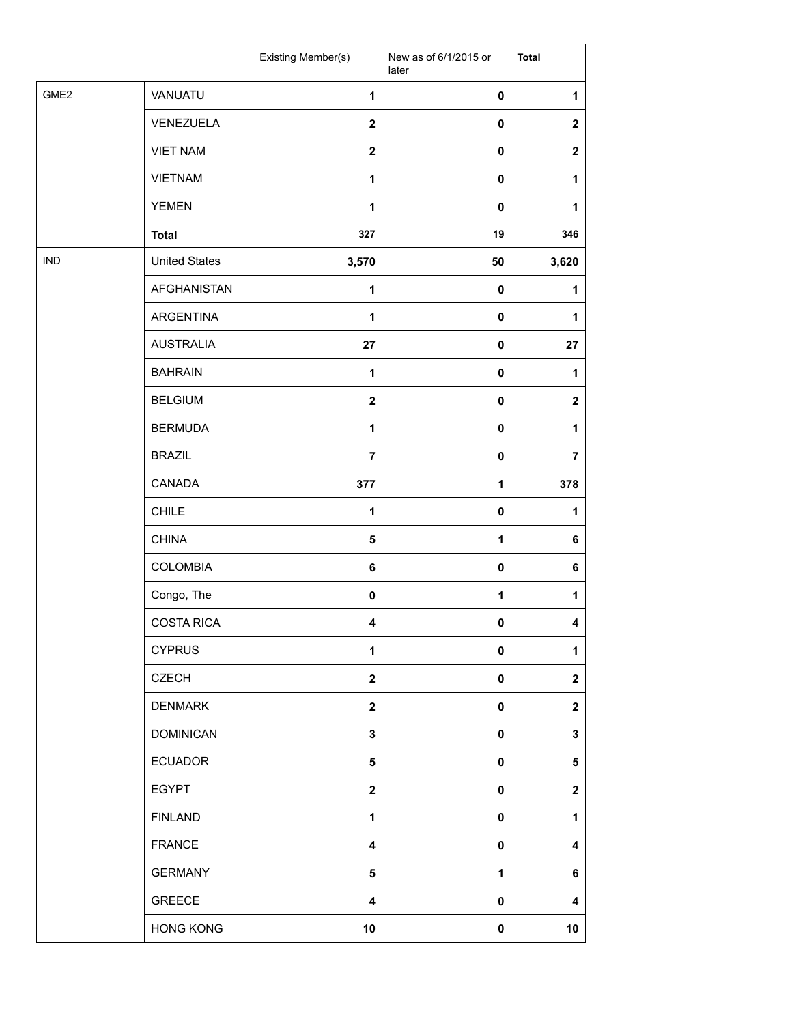|                  |                      | Existing Member(s)      | New as of 6/1/2015 or<br>later | <b>Total</b> |
|------------------|----------------------|-------------------------|--------------------------------|--------------|
| GME <sub>2</sub> | VANUATU              | $\mathbf{1}$            | $\pmb{0}$                      | 1            |
|                  | VENEZUELA            | $\overline{\mathbf{2}}$ | $\pmb{0}$                      | $\mathbf{2}$ |
|                  | <b>VIET NAM</b>      | $\mathbf 2$             | $\pmb{0}$                      | $\mathbf 2$  |
|                  | <b>VIETNAM</b>       | $\mathbf{1}$            | $\pmb{0}$                      | 1            |
|                  | <b>YEMEN</b>         | $\mathbf{1}$            | $\pmb{0}$                      | 1            |
|                  | <b>Total</b>         | 327                     | 19                             | 346          |
| <b>IND</b>       | <b>United States</b> | 3,570                   | 50                             | 3,620        |
|                  | <b>AFGHANISTAN</b>   | 1                       | 0                              | 1            |
|                  | ARGENTINA            | 1                       | 0                              | 1            |
|                  | <b>AUSTRALIA</b>     | 27                      | 0                              | 27           |
|                  | <b>BAHRAIN</b>       | $\mathbf{1}$            | $\pmb{0}$                      | 1            |
|                  | <b>BELGIUM</b>       | $\overline{\mathbf{2}}$ | $\pmb{0}$                      | $\mathbf{2}$ |
|                  | <b>BERMUDA</b>       | $\mathbf{1}$            | 0                              | 1            |
|                  | <b>BRAZIL</b>        | $\overline{7}$          | 0                              | 7            |
|                  | CANADA               | 377                     | 1                              | 378          |
|                  | <b>CHILE</b>         | 1                       | $\pmb{0}$                      | 1            |
|                  | <b>CHINA</b>         | 5                       | 1                              | 6            |
|                  | COLOMBIA             | 6                       | $\pmb{0}$                      | 6            |
|                  | Congo, The           | 0                       | 1                              | 1            |
|                  | <b>COSTA RICA</b>    | 4                       | 0                              | 4            |
|                  | <b>CYPRUS</b>        | 1                       | 0                              | 1            |
|                  | <b>CZECH</b>         | $\mathbf{2}$            | 0                              | $\mathbf 2$  |
|                  | <b>DENMARK</b>       | $\mathbf{2}$            | 0                              | $\mathbf 2$  |
|                  | <b>DOMINICAN</b>     | 3                       | $\mathbf 0$                    | 3            |
|                  | <b>ECUADOR</b>       | 5                       | 0                              | 5            |
|                  | <b>EGYPT</b>         | $\boldsymbol{2}$        | 0                              | $\mathbf 2$  |
|                  | <b>FINLAND</b>       | 1                       | 0                              | 1            |
|                  | <b>FRANCE</b>        | $\overline{\mathbf{4}}$ | 0                              | 4            |
|                  | <b>GERMANY</b>       | 5                       | 1                              | 6            |
|                  | <b>GREECE</b>        | 4                       | 0                              | 4            |
|                  | <b>HONG KONG</b>     | 10                      | 0                              | 10           |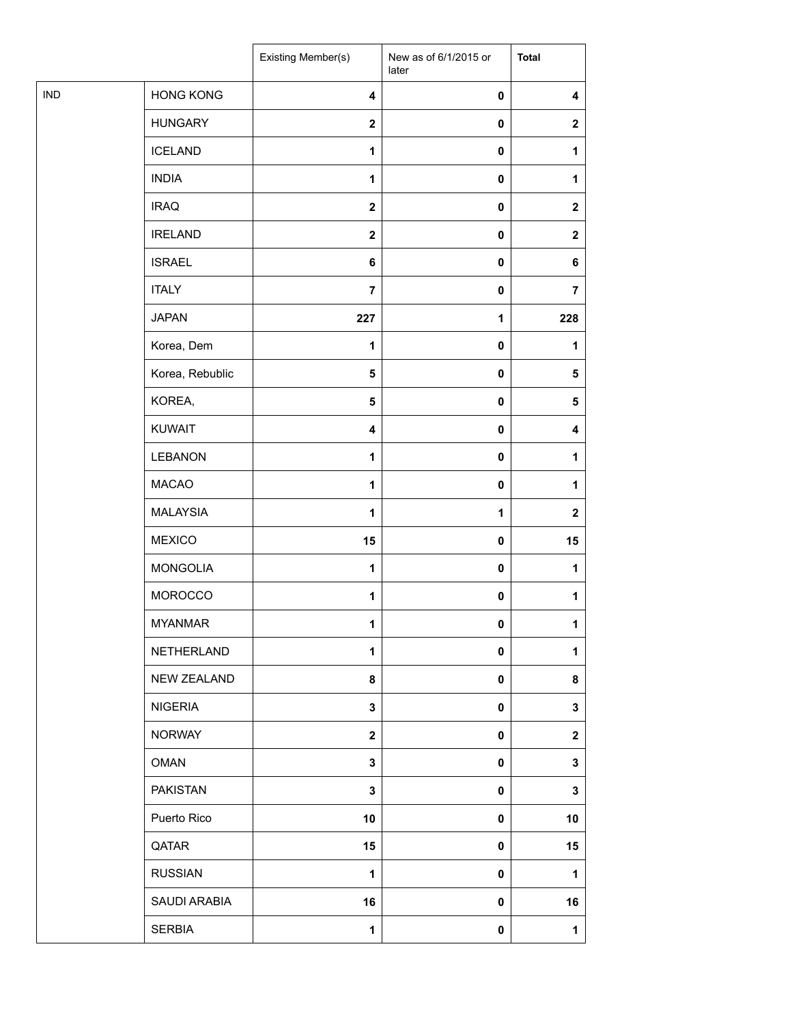|            |                    | Existing Member(s)      | New as of 6/1/2015 or<br>later | <b>Total</b>            |
|------------|--------------------|-------------------------|--------------------------------|-------------------------|
| <b>IND</b> | <b>HONG KONG</b>   | $\overline{\mathbf{4}}$ | 0                              | 4                       |
|            | <b>HUNGARY</b>     | $\overline{\mathbf{2}}$ | $\pmb{0}$                      | $\mathbf{2}$            |
|            | <b>ICELAND</b>     | 1                       | $\pmb{0}$                      | 1                       |
|            | <b>INDIA</b>       | $\mathbf{1}$            | 0                              | 1                       |
|            | <b>IRAQ</b>        | $\boldsymbol{2}$        | 0                              | $\boldsymbol{2}$        |
|            | <b>IRELAND</b>     | $\boldsymbol{2}$        | $\pmb{0}$                      | $\mathbf 2$             |
|            | <b>ISRAEL</b>      | $\bf 6$                 | $\pmb{0}$                      | 6                       |
|            | <b>ITALY</b>       | $\overline{7}$          | $\pmb{0}$                      | $\overline{\mathbf{7}}$ |
|            | <b>JAPAN</b>       | 227                     | 1                              | 228                     |
|            | Korea, Dem         | 1                       | 0                              | 1                       |
|            | Korea, Rebublic    | $\sqrt{5}$              | 0                              | $\sqrt{5}$              |
|            | KOREA,             | ${\bf 5}$               | $\pmb{0}$                      | 5                       |
|            | <b>KUWAIT</b>      | 4                       | $\pmb{0}$                      | 4                       |
|            | LEBANON            | $\mathbf{1}$            | 0                              | 1                       |
|            | <b>MACAO</b>       | 1                       | 0                              | 1                       |
|            | <b>MALAYSIA</b>    | $\mathbf{1}$            | 1                              | $\mathbf{2}$            |
|            | <b>MEXICO</b>      | 15                      | $\pmb{0}$                      | 15                      |
|            | <b>MONGOLIA</b>    | 1                       | $\pmb{0}$                      | 1                       |
|            | <b>MOROCCO</b>     | $\mathbf{1}$            | 0                              | 1                       |
|            | <b>MYANMAR</b>     | 1                       | 0                              | $\mathbf{1}$            |
|            | NETHERLAND         | 1                       | 0                              | 1                       |
|            | <b>NEW ZEALAND</b> | 8                       | 0                              | 8                       |
|            | <b>NIGERIA</b>     | 3                       | 0                              | $\mathbf{3}$            |
|            | <b>NORWAY</b>      | $\mathbf 2$             | 0                              | $\mathbf 2$             |
|            | <b>OMAN</b>        | 3                       | 0                              | 3                       |
|            | <b>PAKISTAN</b>    | $\mathbf 3$             | 0                              | 3                       |
|            | Puerto Rico        | 10                      | 0                              | 10                      |
|            | QATAR              | 15                      | 0                              | 15                      |
|            | <b>RUSSIAN</b>     | $\mathbf{1}$            | 0                              | 1                       |
|            | SAUDI ARABIA       | 16                      | 0                              | 16                      |
|            | <b>SERBIA</b>      | 1                       | 0                              | $\mathbf{1}$            |
|            |                    |                         |                                |                         |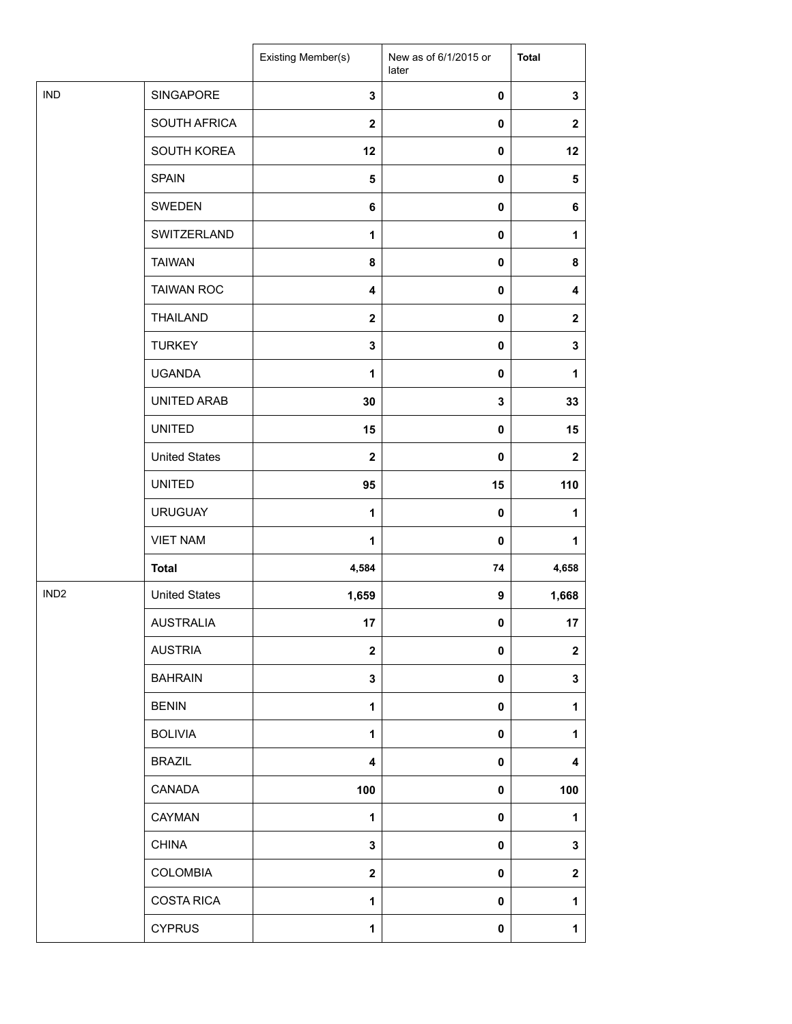|                  |                      | Existing Member(s)      | New as of 6/1/2015 or<br>later | <b>Total</b>     |
|------------------|----------------------|-------------------------|--------------------------------|------------------|
| <b>IND</b>       | SINGAPORE            | 3                       | 0                              | $\mathbf 3$      |
|                  | SOUTH AFRICA         | $\overline{2}$          | 0                              | $\boldsymbol{2}$ |
|                  | SOUTH KOREA          | 12                      | 0                              | 12               |
|                  | <b>SPAIN</b>         | 5                       | 0                              | 5                |
|                  | SWEDEN               | 6                       | 0                              | 6                |
|                  | SWITZERLAND          | 1                       | 0                              | 1                |
|                  | <b>TAIWAN</b>        | 8                       | 0                              | 8                |
|                  | <b>TAIWAN ROC</b>    | 4                       | 0                              | 4                |
|                  | <b>THAILAND</b>      | $\mathbf{2}$            | 0                              | $\mathbf 2$      |
|                  | <b>TURKEY</b>        | 3                       | 0                              | $\mathbf 3$      |
|                  | <b>UGANDA</b>        | 1                       | 0                              | 1                |
|                  | UNITED ARAB          | 30                      | 3                              | 33               |
|                  | <b>UNITED</b>        | 15                      | 0                              | 15               |
|                  | <b>United States</b> | $\mathbf{2}$            | 0                              | $\mathbf{2}$     |
|                  | <b>UNITED</b>        | 95                      | 15                             | 110              |
| IND <sub>2</sub> | <b>URUGUAY</b>       | $\mathbf{1}$            | $\pmb{0}$                      | $\mathbf{1}$     |
|                  | <b>VIET NAM</b>      | $\mathbf{1}$            | 0                              | 1                |
|                  | <b>Total</b>         | 4,584                   | 74                             | 4,658            |
|                  | <b>United States</b> | 1,659                   | 9                              | 1,668            |
|                  | <b>AUSTRALIA</b>     | 17                      | $\mathbf 0$                    | 17               |
|                  | <b>AUSTRIA</b>       | $\overline{\mathbf{2}}$ | 0                              | $\boldsymbol{2}$ |
|                  | <b>BAHRAIN</b>       | 3                       | 0                              | 3                |
|                  | <b>BENIN</b>         | $\mathbf{1}$            | 0                              | 1                |
|                  | <b>BOLIVIA</b>       | 1                       | 0                              | 1                |
|                  | <b>BRAZIL</b>        | 4                       | 0                              | 4                |
|                  | CANADA               | 100                     | 0                              | 100              |
|                  | CAYMAN               | $\mathbf{1}$            | 0                              | 1                |
|                  | <b>CHINA</b>         | 3                       | 0                              | 3                |
|                  | COLOMBIA             | $\mathbf{2}$            | 0                              | $\mathbf 2$      |
|                  | <b>COSTA RICA</b>    | 1                       | 0                              | 1                |
|                  | <b>CYPRUS</b>        | 1                       | 0                              | $\mathbf{1}$     |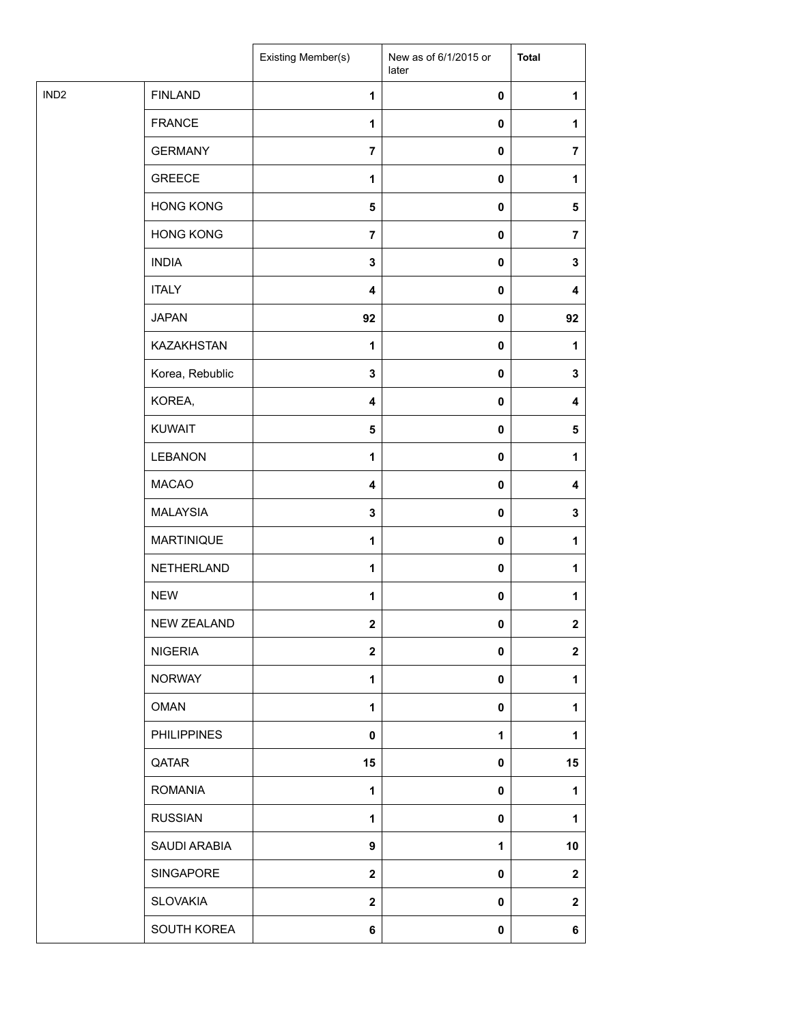| <b>FINLAND</b><br>$\mathbf{1}$<br>$\pmb{0}$<br>1<br><b>FRANCE</b><br>$\pmb{0}$<br>$\mathbf{1}$<br>1<br><b>GERMANY</b><br>$\overline{7}$<br>0<br>$\overline{7}$<br><b>GREECE</b><br>$\mathbf 1$<br>0<br>1<br><b>HONG KONG</b><br>5<br>0<br>5<br><b>HONG KONG</b><br>$\overline{7}$<br>0<br>$\overline{7}$<br><b>INDIA</b><br>$\mathbf 3$<br>$\pmb{0}$<br>3<br><b>ITALY</b><br>$\pmb{0}$<br>$\overline{\mathbf{4}}$<br>4<br><b>JAPAN</b><br>92<br>92<br>0<br>KAZAKHSTAN<br>$\mathbf 1$<br>0<br>$\mathbf{1}$<br>Korea, Rebublic<br>3<br>0<br>3<br>KOREA,<br>4<br>0<br>4<br>KUWAIT<br>$\pmb{0}$<br>5<br>$\sqrt{5}$<br>LEBANON<br>$\mathbf 1$<br>0<br>1<br><b>MACAO</b><br>4<br>0<br>4<br><b>MALAYSIA</b><br>$\mathbf 3$<br>0<br>3<br><b>MARTINIQUE</b><br>$\mathbf{1}$<br>0<br>1<br>NETHERLAND<br>$\mathbf 1$<br>0<br>1<br><b>NEW</b><br>$\mathbf{1}$<br>0<br>1<br>NEW ZEALAND<br>$\mathbf{2}$<br>$\overline{2}$<br>0<br><b>NIGERIA</b><br>$\boldsymbol{2}$<br>0<br>$\mathbf{2}$<br><b>NORWAY</b><br>$\mathbf{1}$<br>0<br>1<br><b>OMAN</b><br>$\mathbf{1}$<br>$\mathbf 0$<br>1<br><b>PHILIPPINES</b><br>$\pmb{0}$<br>$\mathbf{1}$<br>1<br>QATAR<br>15<br>0<br>15<br><b>ROMANIA</b><br>$\mathbf{1}$<br>0<br>1<br><b>RUSSIAN</b><br>$\mathbf{1}$<br>0<br>1<br>SAUDI ARABIA<br>$\boldsymbol{9}$<br>10<br>1<br>SINGAPORE<br>$\mathbf{2}$<br>0<br>$\mathbf{2}$<br><b>SLOVAKIA</b><br>$\boldsymbol{2}$<br>0<br>$\mathbf{2}$<br>SOUTH KOREA<br>6<br>0<br>6 |                  | Existing Member(s) | New as of 6/1/2015 or<br>later | <b>Total</b> |
|-------------------------------------------------------------------------------------------------------------------------------------------------------------------------------------------------------------------------------------------------------------------------------------------------------------------------------------------------------------------------------------------------------------------------------------------------------------------------------------------------------------------------------------------------------------------------------------------------------------------------------------------------------------------------------------------------------------------------------------------------------------------------------------------------------------------------------------------------------------------------------------------------------------------------------------------------------------------------------------------------------------------------------------------------------------------------------------------------------------------------------------------------------------------------------------------------------------------------------------------------------------------------------------------------------------------------------------------------------------------------------------------------------------------------------------------------|------------------|--------------------|--------------------------------|--------------|
|                                                                                                                                                                                                                                                                                                                                                                                                                                                                                                                                                                                                                                                                                                                                                                                                                                                                                                                                                                                                                                                                                                                                                                                                                                                                                                                                                                                                                                                 | IND <sub>2</sub> |                    |                                |              |
|                                                                                                                                                                                                                                                                                                                                                                                                                                                                                                                                                                                                                                                                                                                                                                                                                                                                                                                                                                                                                                                                                                                                                                                                                                                                                                                                                                                                                                                 |                  |                    |                                |              |
|                                                                                                                                                                                                                                                                                                                                                                                                                                                                                                                                                                                                                                                                                                                                                                                                                                                                                                                                                                                                                                                                                                                                                                                                                                                                                                                                                                                                                                                 |                  |                    |                                |              |
|                                                                                                                                                                                                                                                                                                                                                                                                                                                                                                                                                                                                                                                                                                                                                                                                                                                                                                                                                                                                                                                                                                                                                                                                                                                                                                                                                                                                                                                 |                  |                    |                                |              |
|                                                                                                                                                                                                                                                                                                                                                                                                                                                                                                                                                                                                                                                                                                                                                                                                                                                                                                                                                                                                                                                                                                                                                                                                                                                                                                                                                                                                                                                 |                  |                    |                                |              |
|                                                                                                                                                                                                                                                                                                                                                                                                                                                                                                                                                                                                                                                                                                                                                                                                                                                                                                                                                                                                                                                                                                                                                                                                                                                                                                                                                                                                                                                 |                  |                    |                                |              |
|                                                                                                                                                                                                                                                                                                                                                                                                                                                                                                                                                                                                                                                                                                                                                                                                                                                                                                                                                                                                                                                                                                                                                                                                                                                                                                                                                                                                                                                 |                  |                    |                                |              |
|                                                                                                                                                                                                                                                                                                                                                                                                                                                                                                                                                                                                                                                                                                                                                                                                                                                                                                                                                                                                                                                                                                                                                                                                                                                                                                                                                                                                                                                 |                  |                    |                                |              |
|                                                                                                                                                                                                                                                                                                                                                                                                                                                                                                                                                                                                                                                                                                                                                                                                                                                                                                                                                                                                                                                                                                                                                                                                                                                                                                                                                                                                                                                 |                  |                    |                                |              |
|                                                                                                                                                                                                                                                                                                                                                                                                                                                                                                                                                                                                                                                                                                                                                                                                                                                                                                                                                                                                                                                                                                                                                                                                                                                                                                                                                                                                                                                 |                  |                    |                                |              |
|                                                                                                                                                                                                                                                                                                                                                                                                                                                                                                                                                                                                                                                                                                                                                                                                                                                                                                                                                                                                                                                                                                                                                                                                                                                                                                                                                                                                                                                 |                  |                    |                                |              |
|                                                                                                                                                                                                                                                                                                                                                                                                                                                                                                                                                                                                                                                                                                                                                                                                                                                                                                                                                                                                                                                                                                                                                                                                                                                                                                                                                                                                                                                 |                  |                    |                                |              |
|                                                                                                                                                                                                                                                                                                                                                                                                                                                                                                                                                                                                                                                                                                                                                                                                                                                                                                                                                                                                                                                                                                                                                                                                                                                                                                                                                                                                                                                 |                  |                    |                                |              |
|                                                                                                                                                                                                                                                                                                                                                                                                                                                                                                                                                                                                                                                                                                                                                                                                                                                                                                                                                                                                                                                                                                                                                                                                                                                                                                                                                                                                                                                 |                  |                    |                                |              |
|                                                                                                                                                                                                                                                                                                                                                                                                                                                                                                                                                                                                                                                                                                                                                                                                                                                                                                                                                                                                                                                                                                                                                                                                                                                                                                                                                                                                                                                 |                  |                    |                                |              |
|                                                                                                                                                                                                                                                                                                                                                                                                                                                                                                                                                                                                                                                                                                                                                                                                                                                                                                                                                                                                                                                                                                                                                                                                                                                                                                                                                                                                                                                 |                  |                    |                                |              |
|                                                                                                                                                                                                                                                                                                                                                                                                                                                                                                                                                                                                                                                                                                                                                                                                                                                                                                                                                                                                                                                                                                                                                                                                                                                                                                                                                                                                                                                 |                  |                    |                                |              |
|                                                                                                                                                                                                                                                                                                                                                                                                                                                                                                                                                                                                                                                                                                                                                                                                                                                                                                                                                                                                                                                                                                                                                                                                                                                                                                                                                                                                                                                 |                  |                    |                                |              |
|                                                                                                                                                                                                                                                                                                                                                                                                                                                                                                                                                                                                                                                                                                                                                                                                                                                                                                                                                                                                                                                                                                                                                                                                                                                                                                                                                                                                                                                 |                  |                    |                                |              |
|                                                                                                                                                                                                                                                                                                                                                                                                                                                                                                                                                                                                                                                                                                                                                                                                                                                                                                                                                                                                                                                                                                                                                                                                                                                                                                                                                                                                                                                 |                  |                    |                                |              |
|                                                                                                                                                                                                                                                                                                                                                                                                                                                                                                                                                                                                                                                                                                                                                                                                                                                                                                                                                                                                                                                                                                                                                                                                                                                                                                                                                                                                                                                 |                  |                    |                                |              |
|                                                                                                                                                                                                                                                                                                                                                                                                                                                                                                                                                                                                                                                                                                                                                                                                                                                                                                                                                                                                                                                                                                                                                                                                                                                                                                                                                                                                                                                 |                  |                    |                                |              |
|                                                                                                                                                                                                                                                                                                                                                                                                                                                                                                                                                                                                                                                                                                                                                                                                                                                                                                                                                                                                                                                                                                                                                                                                                                                                                                                                                                                                                                                 |                  |                    |                                |              |
|                                                                                                                                                                                                                                                                                                                                                                                                                                                                                                                                                                                                                                                                                                                                                                                                                                                                                                                                                                                                                                                                                                                                                                                                                                                                                                                                                                                                                                                 |                  |                    |                                |              |
|                                                                                                                                                                                                                                                                                                                                                                                                                                                                                                                                                                                                                                                                                                                                                                                                                                                                                                                                                                                                                                                                                                                                                                                                                                                                                                                                                                                                                                                 |                  |                    |                                |              |
|                                                                                                                                                                                                                                                                                                                                                                                                                                                                                                                                                                                                                                                                                                                                                                                                                                                                                                                                                                                                                                                                                                                                                                                                                                                                                                                                                                                                                                                 |                  |                    |                                |              |
|                                                                                                                                                                                                                                                                                                                                                                                                                                                                                                                                                                                                                                                                                                                                                                                                                                                                                                                                                                                                                                                                                                                                                                                                                                                                                                                                                                                                                                                 |                  |                    |                                |              |
|                                                                                                                                                                                                                                                                                                                                                                                                                                                                                                                                                                                                                                                                                                                                                                                                                                                                                                                                                                                                                                                                                                                                                                                                                                                                                                                                                                                                                                                 |                  |                    |                                |              |
|                                                                                                                                                                                                                                                                                                                                                                                                                                                                                                                                                                                                                                                                                                                                                                                                                                                                                                                                                                                                                                                                                                                                                                                                                                                                                                                                                                                                                                                 |                  |                    |                                |              |
|                                                                                                                                                                                                                                                                                                                                                                                                                                                                                                                                                                                                                                                                                                                                                                                                                                                                                                                                                                                                                                                                                                                                                                                                                                                                                                                                                                                                                                                 |                  |                    |                                |              |
|                                                                                                                                                                                                                                                                                                                                                                                                                                                                                                                                                                                                                                                                                                                                                                                                                                                                                                                                                                                                                                                                                                                                                                                                                                                                                                                                                                                                                                                 |                  |                    |                                |              |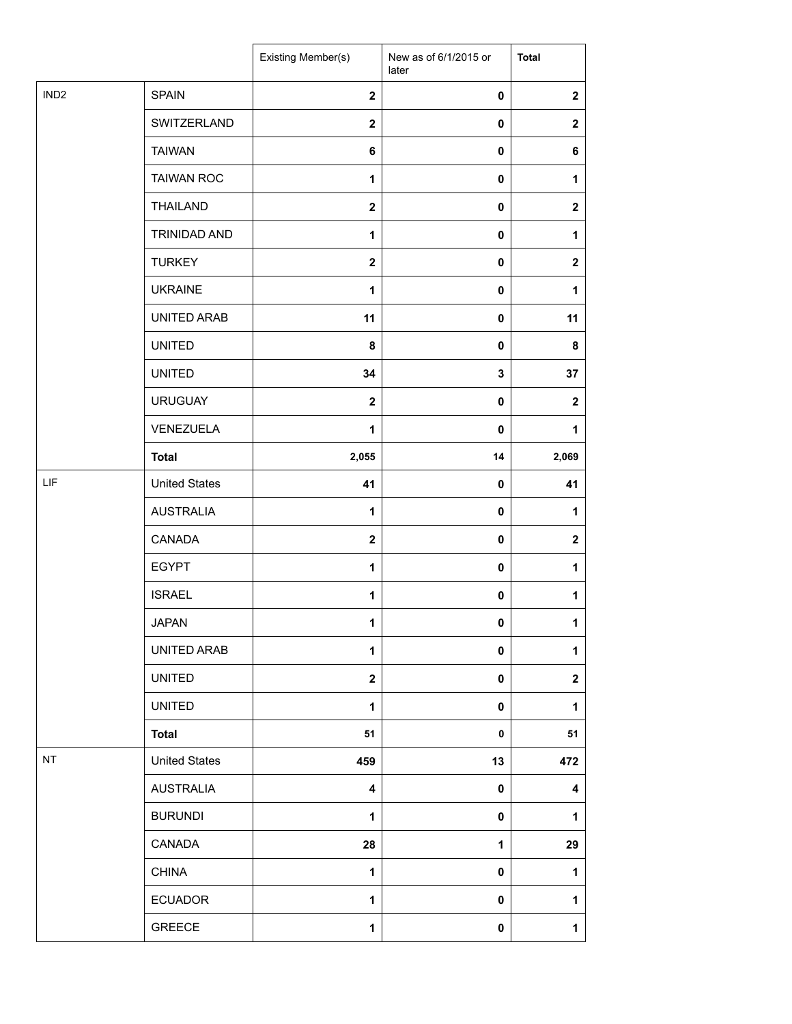|                  |                      | Existing Member(s)      | New as of 6/1/2015 or<br>later | <b>Total</b>     |
|------------------|----------------------|-------------------------|--------------------------------|------------------|
| IND <sub>2</sub> | <b>SPAIN</b>         | $\mathbf{2}$            | $\mathbf 0$                    | $\mathbf{2}$     |
|                  | SWITZERLAND          | $\overline{2}$          | 0                              | $\mathbf 2$      |
|                  | <b>TAIWAN</b>        | 6                       | 0                              | 6                |
|                  | <b>TAIWAN ROC</b>    | 1                       | 0                              | 1                |
|                  | <b>THAILAND</b>      | $\mathbf 2$             | 0                              | $\boldsymbol{2}$ |
|                  | TRINIDAD AND         | $\mathbf{1}$            | 0                              | $\mathbf{1}$     |
|                  | <b>TURKEY</b>        | $\mathbf{2}$            | $\mathbf 0$                    | $\mathbf{2}$     |
|                  | <b>UKRAINE</b>       | $\mathbf{1}$            | 0                              | 1                |
|                  | UNITED ARAB          | 11                      | 0                              | 11               |
|                  | <b>UNITED</b>        | 8                       | 0                              | 8                |
|                  | <b>UNITED</b>        | 34                      | 3                              | 37               |
|                  | <b>URUGUAY</b>       | $\mathbf{2}$            | $\mathbf 0$                    | $\mathbf{2}$     |
|                  | VENEZUELA            | $\mathbf{1}$            | $\mathbf 0$                    | 1                |
|                  | <b>Total</b>         | 2,055                   | 14                             | 2,069            |
| LIF              | <b>United States</b> | 41                      | 0                              | 41               |
|                  | <b>AUSTRALIA</b>     | 1                       | $\mathbf 0$                    | 1                |
|                  | CANADA               | $\mathbf{2}$            | $\pmb{0}$                      | $\boldsymbol{2}$ |
|                  | <b>EGYPT</b>         | $\mathbf{1}$            | 0                              | 1                |
|                  | <b>ISRAEL</b>        | 1                       | 0                              | $\mathbf{1}$     |
|                  | <b>JAPAN</b>         | 1                       | 0                              | $\mathbf{1}$     |
|                  | UNITED ARAB          | 1                       | $\pmb{0}$                      | $\mathbf 1$      |
|                  | <b>UNITED</b>        | $\overline{\mathbf{2}}$ | 0                              | $\mathbf 2$      |
|                  | <b>UNITED</b>        | $\mathbf{1}$            | 0                              | 1                |
|                  | <b>Total</b>         | 51                      | 0                              | 51               |
| NT               | <b>United States</b> | 459                     | 13                             | 472              |
|                  | <b>AUSTRALIA</b>     | 4                       | $\pmb{0}$                      | 4                |
|                  | <b>BURUNDI</b>       | 1                       | 0                              | 1                |
|                  | CANADA               | 28                      | 1                              | 29               |
|                  | <b>CHINA</b>         | 1                       | 0                              | 1                |
|                  | <b>ECUADOR</b>       | 1                       | 0                              | $\mathbf{1}$     |
|                  | GREECE               | 1                       | 0                              | $\mathbf 1$      |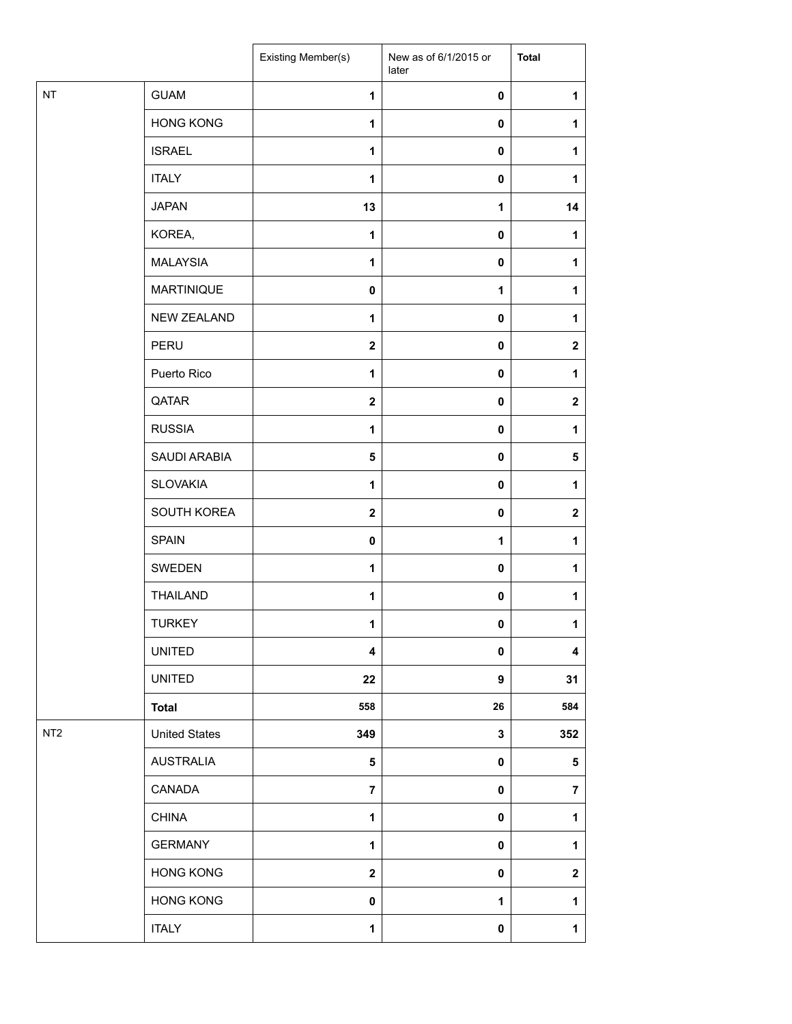|                 |                      | Existing Member(s)      | New as of 6/1/2015 or<br>later | <b>Total</b>            |
|-----------------|----------------------|-------------------------|--------------------------------|-------------------------|
| $\sf{NT}$       | <b>GUAM</b>          | $\mathbf{1}$            | 0                              | 1                       |
|                 | <b>HONG KONG</b>     | 1                       | 0                              | 1                       |
|                 | <b>ISRAEL</b>        | 1                       | 0                              | 1                       |
|                 | <b>ITALY</b>         | 1                       | $\mathbf 0$                    | 1                       |
|                 | <b>JAPAN</b>         | 13                      | 1                              | 14                      |
|                 | KOREA,               | $\mathbf{1}$            | 0                              | $\mathbf{1}$            |
|                 | <b>MALAYSIA</b>      | 1                       | 0                              | 1                       |
|                 | <b>MARTINIQUE</b>    | $\pmb{0}$               | 1                              | 1                       |
|                 | <b>NEW ZEALAND</b>   | 1                       | 0                              | 1                       |
|                 | PERU                 | $\mathbf{2}$            | 0                              | $\mathbf 2$             |
|                 | Puerto Rico          | $\mathbf{1}$            | 0                              | 1                       |
|                 | QATAR                | $\mathbf{2}$            | $\pmb{0}$                      | $\mathbf 2$             |
|                 | <b>RUSSIA</b>        | $\mathbf{1}$            | 0                              | 1                       |
|                 | SAUDI ARABIA         | 5                       | 0                              | 5                       |
|                 | <b>SLOVAKIA</b>      | 1                       | 0                              | 1                       |
|                 | SOUTH KOREA          | $\mathbf{2}$            | 0                              | $\mathbf 2$             |
|                 | <b>SPAIN</b>         | $\mathbf 0$             | 1                              | 1                       |
|                 | SWEDEN               | $\mathbf{1}$            | $\pmb{0}$                      | 1                       |
|                 | <b>THAILAND</b>      | 1                       | 0                              | 1                       |
|                 | <b>TURKEY</b>        | 1                       | 0                              | $\mathbf{1}$            |
|                 | <b>UNITED</b>        | 4                       | 0                              | 4                       |
|                 | UNITED               | 22                      | $\boldsymbol{9}$               | 31                      |
|                 | <b>Total</b>         | 558                     | 26                             | 584                     |
| NT <sub>2</sub> | <b>United States</b> | 349                     | 3                              | 352                     |
|                 | <b>AUSTRALIA</b>     | 5                       | 0                              | 5                       |
|                 | CANADA               | $\overline{7}$          | 0                              | $\overline{\mathbf{7}}$ |
|                 | <b>CHINA</b>         | $\mathbf 1$             | $\pmb{0}$                      | $\mathbf{1}$            |
|                 | <b>GERMANY</b>       | 1                       | 0                              | 1                       |
|                 | <b>HONG KONG</b>     | $\overline{\mathbf{2}}$ | $\pmb{0}$                      | $\mathbf 2$             |
|                 | <b>HONG KONG</b>     | $\pmb{0}$               | $\mathbf 1$                    | $\mathbf{1}$            |
|                 | <b>ITALY</b>         | 1                       | 0                              | $\mathbf{1}$            |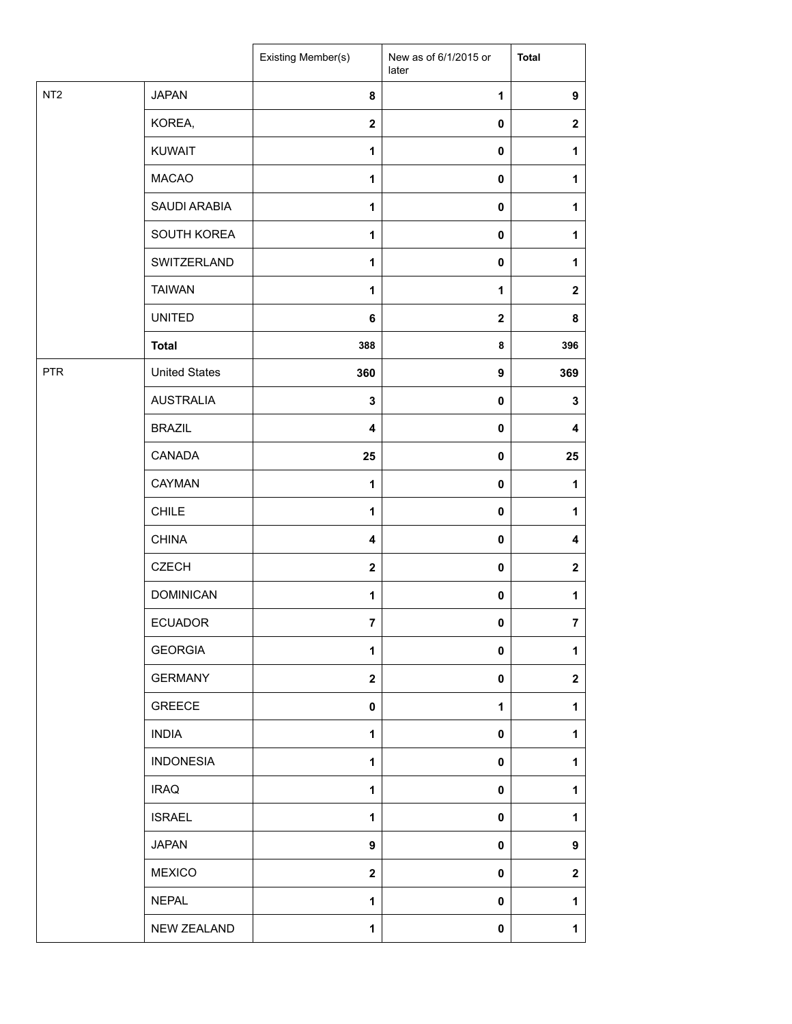|                 |                      | <b>Existing Member(s)</b> | New as of 6/1/2015 or<br>later | <b>Total</b>            |
|-----------------|----------------------|---------------------------|--------------------------------|-------------------------|
| NT <sub>2</sub> | <b>JAPAN</b>         | 8                         | $\mathbf{1}$                   | $\boldsymbol{9}$        |
|                 | KOREA,               | $\overline{\mathbf{2}}$   | $\pmb{0}$                      | $\boldsymbol{2}$        |
|                 | <b>KUWAIT</b>        | $\mathbf{1}$              | $\pmb{0}$                      | 1                       |
|                 | <b>MACAO</b>         | $\mathbf{1}$              | $\pmb{0}$                      | 1                       |
|                 | SAUDI ARABIA         | $\mathbf{1}$              | $\pmb{0}$                      | 1                       |
|                 | SOUTH KOREA          | $\mathbf{1}$              | $\mathbf 0$                    | 1                       |
|                 | SWITZERLAND          | $\mathbf{1}$              | $\pmb{0}$                      | 1                       |
|                 | <b>TAIWAN</b>        | $\mathbf{1}$              | 1                              | $\mathbf{2}$            |
|                 | <b>UNITED</b>        | 6                         | $\mathbf{2}$                   | 8                       |
|                 | <b>Total</b>         | 388                       | 8                              | 396                     |
| <b>PTR</b>      | <b>United States</b> | 360                       | 9                              | 369                     |
|                 | <b>AUSTRALIA</b>     | $\mathbf 3$               | $\pmb{0}$                      | $\mathbf 3$             |
|                 | <b>BRAZIL</b>        | $\overline{\mathbf{4}}$   | $\pmb{0}$                      | 4                       |
|                 | CANADA               | 25                        | $\pmb{0}$                      | 25                      |
|                 | CAYMAN               | 1                         | $\pmb{0}$                      | 1                       |
|                 | <b>CHILE</b>         | 1                         | $\pmb{0}$                      | 1                       |
|                 | <b>CHINA</b>         | $\overline{\mathbf{4}}$   | $\mathbf 0$                    | 4                       |
|                 | <b>CZECH</b>         | $\mathbf{2}$              | $\pmb{0}$                      | $\boldsymbol{2}$        |
|                 | <b>DOMINICAN</b>     | 1                         | $\pmb{0}$                      | 1                       |
|                 | <b>ECUADOR</b>       | $\bf 7$                   | $\pmb{0}$                      | $\overline{\mathbf{7}}$ |
|                 | <b>GEORGIA</b>       | $\mathbf{1}$              | $\pmb{0}$                      | 1                       |
|                 | <b>GERMANY</b>       | $\overline{\mathbf{2}}$   | $\pmb{0}$                      | $\mathbf{2}$            |
|                 | <b>GREECE</b>        | $\mathbf 0$               | 1                              | 1                       |
|                 | <b>INDIA</b>         | $\mathbf{1}$              | $\mathbf 0$                    | 1                       |
|                 | <b>INDONESIA</b>     | $\mathbf{1}$              | 0                              | 1                       |
|                 | <b>IRAQ</b>          | $\mathbf{1}$              | $\mathbf 0$                    | 1                       |
|                 | <b>ISRAEL</b>        | $\mathbf{1}$              | $\mathbf 0$                    | 1                       |
|                 | <b>JAPAN</b>         | 9                         | $\mathbf 0$                    | 9                       |
|                 | <b>MEXICO</b>        | $\mathbf{2}$              | $\mathbf 0$                    | $\mathbf{2}$            |
|                 | <b>NEPAL</b>         | $\mathbf{1}$              | $\mathbf 0$                    | 1                       |
|                 | NEW ZEALAND          | 1                         | $\pmb{0}$                      | 1                       |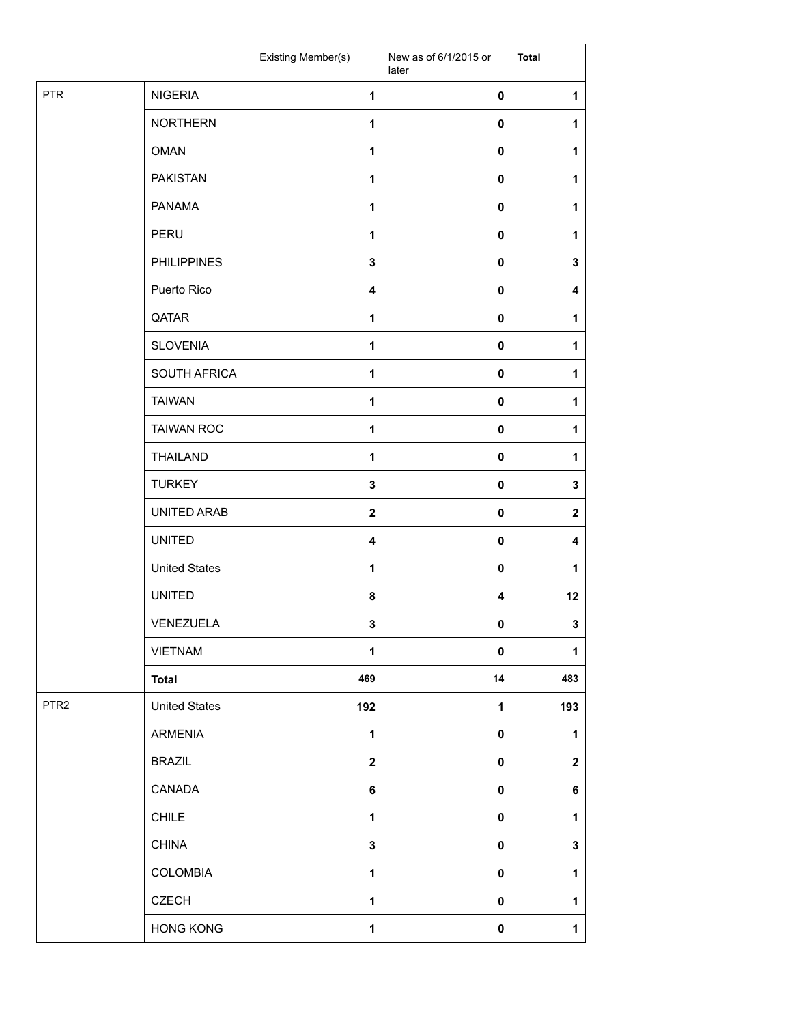|                  |                      | Existing Member(s)      | New as of 6/1/2015 or<br>later | <b>Total</b> |
|------------------|----------------------|-------------------------|--------------------------------|--------------|
| <b>PTR</b>       | <b>NIGERIA</b>       | $\mathbf{1}$            | $\pmb{0}$                      | 1            |
|                  | <b>NORTHERN</b>      | $\mathbf{1}$            | 0                              | 1            |
|                  | <b>OMAN</b>          | $\mathbf{1}$            | 0                              | 1            |
|                  | <b>PAKISTAN</b>      | 1                       | 0                              | 1            |
|                  | <b>PANAMA</b>        | $\mathbf{1}$            | 0                              | 1            |
|                  | PERU                 | $\mathbf{1}$            | 0                              | 1            |
|                  | <b>PHILIPPINES</b>   | $\mathbf 3$             | $\pmb{0}$                      | $\mathbf 3$  |
|                  | Puerto Rico          | 4                       | 0                              | 4            |
|                  | QATAR                | 1                       | 0                              | 1            |
|                  | <b>SLOVENIA</b>      | $\mathbf{1}$            | 0                              | 1            |
|                  | SOUTH AFRICA         | $\mathbf{1}$            | 0                              | 1            |
|                  | <b>TAIWAN</b>        | 1                       | $\pmb{0}$                      | 1            |
|                  | <b>TAIWAN ROC</b>    | 1                       | 0                              | 1            |
|                  | <b>THAILAND</b>      | $\mathbf{1}$            | 0                              | 1            |
|                  | <b>TURKEY</b>        | $\mathbf 3$             | 0                              | 3            |
|                  | UNITED ARAB          | $\boldsymbol{2}$        | 0                              | $\mathbf 2$  |
|                  | <b>UNITED</b>        | $\overline{\mathbf{4}}$ | 0                              | 4            |
|                  | <b>United States</b> | $\mathbf{1}$            | 0                              | 1            |
|                  | <b>UNITED</b>        | 8                       | 4                              | 12           |
|                  | VENEZUELA            | 3                       | 0                              | 3            |
|                  | <b>VIETNAM</b>       | $\mathbf{1}$            | 0                              | 1            |
|                  | <b>Total</b>         | 469                     | 14                             | 483          |
| PTR <sub>2</sub> | <b>United States</b> | 192                     | 1                              | 193          |
|                  | <b>ARMENIA</b>       | $\mathbf 1$             | 0                              | 1            |
|                  | <b>BRAZIL</b>        | $\mathbf{2}$            | 0                              | $\mathbf 2$  |
|                  | CANADA               | 6                       | 0                              | 6            |
|                  | <b>CHILE</b>         | $\mathbf{1}$            | 0                              | 1            |
|                  | <b>CHINA</b>         | $\mathbf 3$             | 0                              | $\mathbf 3$  |
|                  | <b>COLOMBIA</b>      | $\mathbf{1}$            | 0                              | $\mathbf{1}$ |
|                  | <b>CZECH</b>         | 1                       | 0                              | 1            |
|                  | <b>HONG KONG</b>     | $\mathbf{1}$            | 0                              | $\mathbf 1$  |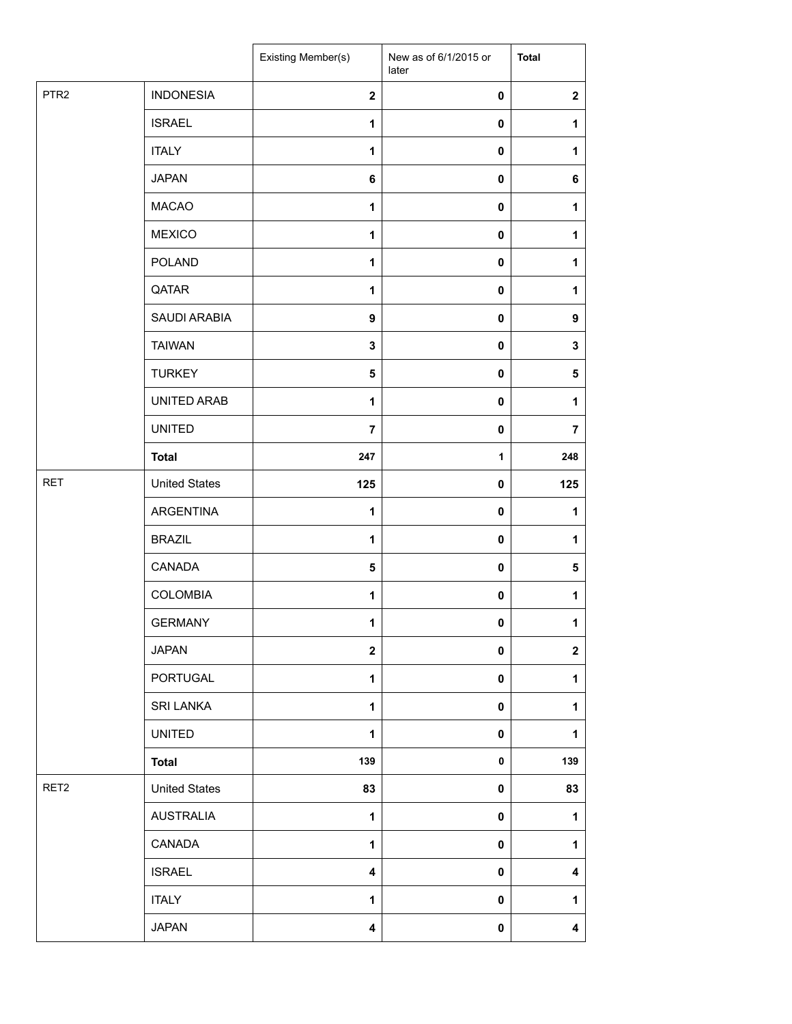|                  |                      | Existing Member(s)      | New as of 6/1/2015 or<br>later | <b>Total</b>            |
|------------------|----------------------|-------------------------|--------------------------------|-------------------------|
| PTR <sub>2</sub> | <b>INDONESIA</b>     | $\mathbf{2}$            | $\pmb{0}$                      | $\boldsymbol{2}$        |
|                  | <b>ISRAEL</b>        | 1                       | 0                              | 1                       |
|                  | <b>ITALY</b>         | $\mathbf{1}$            | 0                              | $\mathbf{1}$            |
|                  | <b>JAPAN</b>         | 6                       | 0                              | 6                       |
|                  | <b>MACAO</b>         | 1                       | 0                              | $\mathbf{1}$            |
|                  | <b>MEXICO</b>        | $\mathbf{1}$            | 0                              | 1                       |
|                  | POLAND               | $\mathbf{1}$            | $\pmb{0}$                      | $\mathbf{1}$            |
|                  | QATAR                | $\mathbf{1}$            | 0                              | 1                       |
|                  | SAUDI ARABIA         | 9                       | 0                              | 9                       |
|                  | <b>TAIWAN</b>        | 3                       | 0                              | 3                       |
|                  | <b>TURKEY</b>        | $\sqrt{5}$              | 0                              | 5                       |
|                  | UNITED ARAB          | $\mathbf{1}$            | $\pmb{0}$                      | $\mathbf{1}$            |
|                  | <b>UNITED</b>        | $\overline{7}$          | $\pmb{0}$                      | $\overline{7}$          |
|                  | <b>Total</b>         | 247                     | 1                              | 248                     |
| <b>RET</b>       | <b>United States</b> | 125                     | 0                              | 125                     |
|                  | ARGENTINA            | 1                       | 0                              | 1                       |
|                  | <b>BRAZIL</b>        | $\mathbf{1}$            | 0                              | $\mathbf{1}$            |
|                  | CANADA               | 5                       | 0                              | 5                       |
|                  | <b>COLOMBIA</b>      | 1                       | 0                              | $\mathbf{1}$            |
|                  | <b>GERMANY</b>       | 1                       | 0                              | $\mathbf{1}$            |
|                  | <b>JAPAN</b>         | $\mathbf{2}$            | 0                              | $\mathbf{2}$            |
|                  | PORTUGAL             | 1                       | 0                              | $\mathbf{1}$            |
|                  | <b>SRI LANKA</b>     | 1                       | 0                              | 1                       |
|                  | <b>UNITED</b>        | $\mathbf{1}$            | 0                              | $\mathbf{1}$            |
|                  | <b>Total</b>         | 139                     | 0                              | 139                     |
| RET <sub>2</sub> | <b>United States</b> | 83                      | 0                              | 83                      |
|                  | <b>AUSTRALIA</b>     | $\mathbf{1}$            | $\pmb{0}$                      | $\mathbf{1}$            |
|                  | CANADA               | 1                       | 0                              | $\mathbf{1}$            |
|                  | <b>ISRAEL</b>        | $\overline{\mathbf{4}}$ | 0                              | $\overline{\mathbf{4}}$ |
|                  | <b>ITALY</b>         | 1                       | $\pmb{0}$                      | $\mathbf{1}$            |
|                  | <b>JAPAN</b>         | 4                       | $\pmb{0}$                      | $\overline{\mathbf{4}}$ |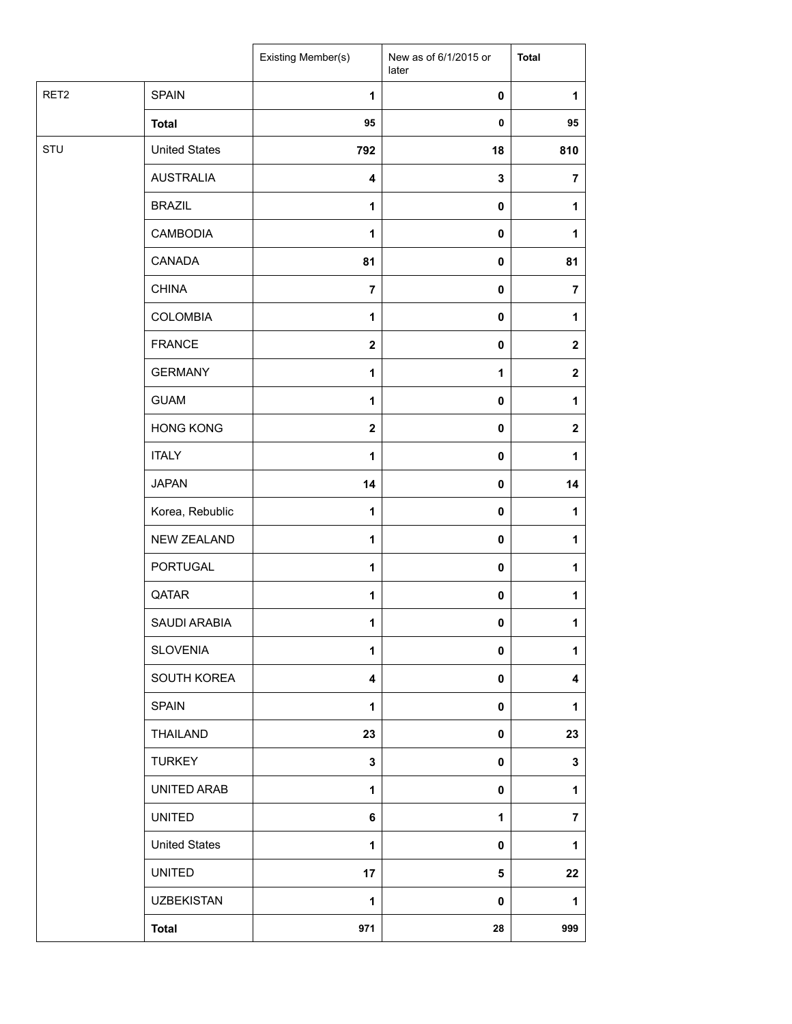|      |                      | Existing Member(s)      | New as of 6/1/2015 or<br>later | <b>Total</b>            |
|------|----------------------|-------------------------|--------------------------------|-------------------------|
| RET2 | <b>SPAIN</b>         | $\mathbf{1}$            | $\pmb{0}$                      | 1                       |
|      | <b>Total</b>         | 95                      | $\pmb{0}$                      | 95                      |
| STU  | <b>United States</b> | 792                     | 18                             | 810                     |
|      | <b>AUSTRALIA</b>     | 4                       | 3                              | $\overline{7}$          |
|      | <b>BRAZIL</b>        | $\mathbf{1}$            | 0                              | 1                       |
|      | <b>CAMBODIA</b>      | $\mathbf{1}$            | $\pmb{0}$                      | 1                       |
|      | CANADA               | 81                      | $\pmb{0}$                      | 81                      |
|      | <b>CHINA</b>         | $\overline{7}$          | $\pmb{0}$                      | $\overline{\mathbf{7}}$ |
|      | <b>COLOMBIA</b>      | $\mathbf{1}$            | $\pmb{0}$                      | 1                       |
|      | <b>FRANCE</b>        | $\overline{\mathbf{2}}$ | $\pmb{0}$                      | $\mathbf 2$             |
|      | <b>GERMANY</b>       | 1                       | $\mathbf 1$                    | $\mathbf 2$             |
|      | <b>GUAM</b>          | $\mathbf{1}$            | $\pmb{0}$                      | 1                       |
|      | <b>HONG KONG</b>     | $\bf 2$                 | $\pmb{0}$                      | $\mathbf 2$             |
|      | <b>ITALY</b>         | $\mathbf{1}$            | $\pmb{0}$                      | 1                       |
|      | <b>JAPAN</b>         | 14                      | $\pmb{0}$                      | 14                      |
|      | Korea, Rebublic      | $\mathbf{1}$            | $\pmb{0}$                      | 1                       |
|      | NEW ZEALAND          | $\mathbf{1}$            | $\pmb{0}$                      | 1                       |
|      | PORTUGAL             | $\mathbf{1}$            | $\pmb{0}$                      | 1                       |
|      | QATAR                | $\mathbf{1}$            | $\pmb{0}$                      | $\mathbf{1}$            |
|      | SAUDI ARABIA         | $\mathbf{1}$            | $\mathbf{0}$                   | $\mathbf{1}$            |
|      | <b>SLOVENIA</b>      | $\mathbf{1}$            | 0                              | 1                       |
|      | SOUTH KOREA          | 4                       | $\pmb{0}$                      | 4                       |
|      | <b>SPAIN</b>         | 1                       | $\pmb{0}$                      | 1                       |
|      | THAILAND             | 23                      | $\pmb{0}$                      | 23                      |
|      | <b>TURKEY</b>        | $\mathbf 3$             | $\pmb{0}$                      | 3                       |
|      | UNITED ARAB          | $\mathbf{1}$            | $\pmb{0}$                      | 1                       |
|      | <b>UNITED</b>        | 6                       | 1                              | $\overline{\mathbf{7}}$ |
|      | <b>United States</b> | $\mathbf{1}$            | 0                              | 1                       |
|      | <b>UNITED</b>        | 17                      | 5                              | 22                      |
|      | <b>UZBEKISTAN</b>    | 1                       | $\pmb{0}$                      | 1                       |
|      | <b>Total</b>         | 971                     | 28                             | 999                     |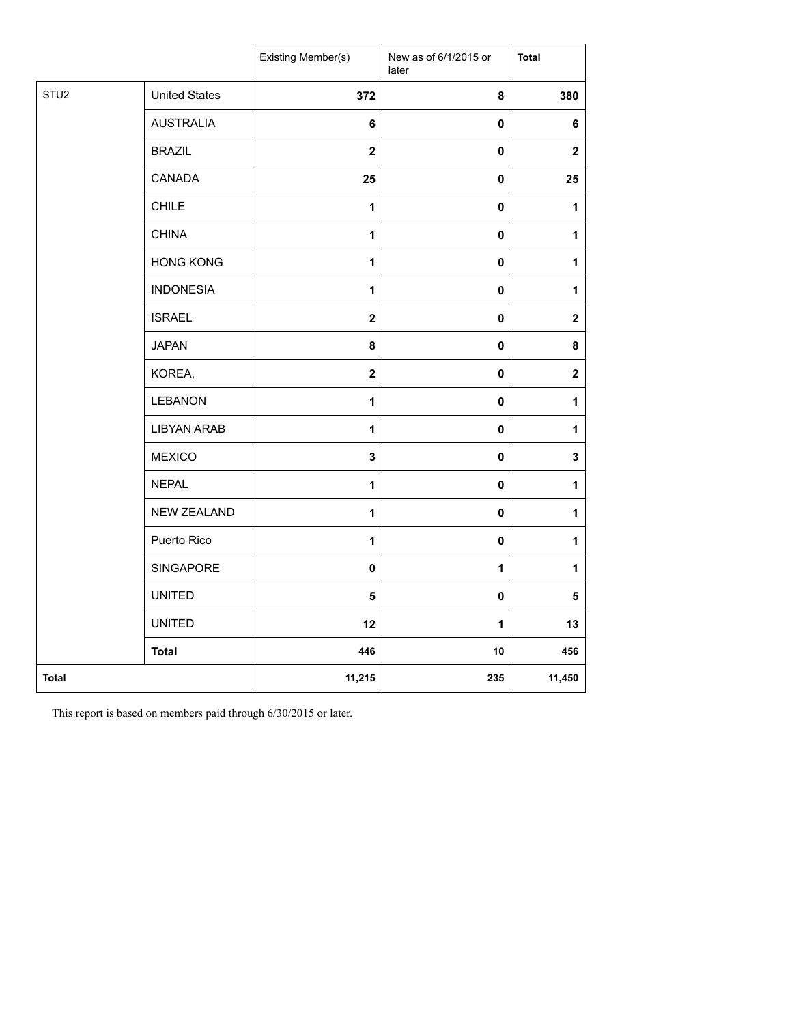|                  |                      | Existing Member(s)      | New as of 6/1/2015 or<br>later | <b>Total</b>            |
|------------------|----------------------|-------------------------|--------------------------------|-------------------------|
| STU <sub>2</sub> | <b>United States</b> | 372                     | 8                              | 380                     |
|                  | <b>AUSTRALIA</b>     | 6                       | 0                              | 6                       |
|                  | <b>BRAZIL</b>        | $\overline{\mathbf{2}}$ | $\pmb{0}$                      | $\mathbf 2$             |
|                  | CANADA               | 25                      | $\pmb{0}$                      | 25                      |
|                  | <b>CHILE</b>         | 1                       | $\pmb{0}$                      | $\mathbf{1}$            |
|                  | <b>CHINA</b>         | $\mathbf{1}$            | $\pmb{0}$                      | $\mathbf{1}$            |
|                  | <b>HONG KONG</b>     | 1                       | $\pmb{0}$                      | $\mathbf{1}$            |
|                  | <b>INDONESIA</b>     | 1                       | $\pmb{0}$                      | $\mathbf{1}$            |
|                  | <b>ISRAEL</b>        | $\overline{\mathbf{2}}$ | $\pmb{0}$                      | $\boldsymbol{2}$        |
|                  | <b>JAPAN</b>         | 8                       | $\pmb{0}$                      | 8                       |
|                  | KOREA,               | $\overline{\mathbf{2}}$ | $\pmb{0}$                      | $\boldsymbol{2}$        |
|                  | LEBANON              | $\mathbf{1}$            | $\pmb{0}$                      | $\mathbf{1}$            |
|                  | <b>LIBYAN ARAB</b>   | 1                       | $\pmb{0}$                      | $\mathbf{1}$            |
|                  | <b>MEXICO</b>        | 3                       | $\pmb{0}$                      | $\mathbf 3$             |
|                  | <b>NEPAL</b>         | $\mathbf{1}$            | $\pmb{0}$                      | $\mathbf{1}$            |
|                  | NEW ZEALAND          | $\mathbf{1}$            | $\pmb{0}$                      | $\mathbf{1}$            |
|                  | Puerto Rico          | $\mathbf{1}$            | $\pmb{0}$                      | $\mathbf{1}$            |
|                  | SINGAPORE            | 0                       | $\mathbf 1$                    | $\mathbf{1}$            |
|                  | <b>UNITED</b>        | 5                       | $\pmb{0}$                      | $\overline{\mathbf{5}}$ |
|                  | <b>UNITED</b>        | 12                      | 1                              | 13                      |
|                  | <b>Total</b>         | 446                     | 10                             | 456                     |
| Total            |                      | 11,215                  | 235                            | 11,450                  |

This report is based on members paid through 6/30/2015 or later.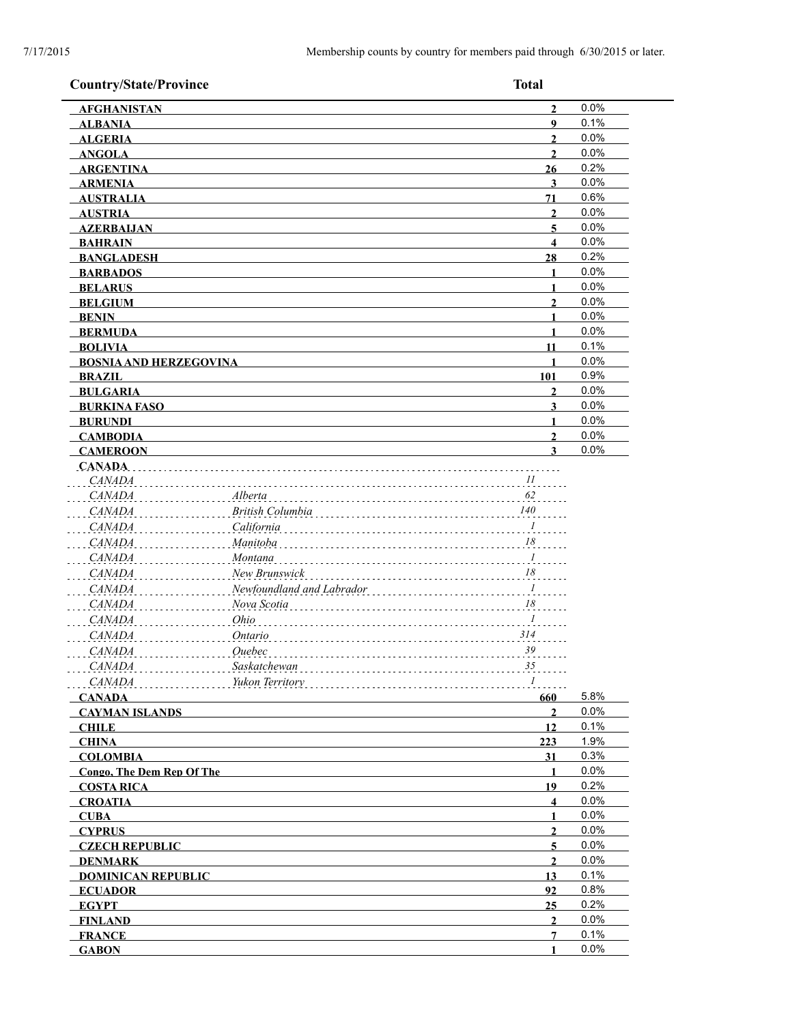| <b>Country/State/Province</b>                   |                           | <b>Total</b>      |              |
|-------------------------------------------------|---------------------------|-------------------|--------------|
| <b>AFGHANISTAN</b>                              |                           | $\overline{2}$    | 0.0%         |
| <b>ALBANIA</b>                                  |                           | $\boldsymbol{9}$  | 0.1%         |
| <b>ALGERIA</b>                                  |                           | $\overline{2}$    | 0.0%         |
| <b>ANGOLA</b>                                   |                           | $\mathbf{2}$      | 0.0%         |
| <b>ARGENTINA</b>                                |                           | 26                | 0.2%         |
| <b>ARMENIA</b>                                  |                           | $\mathbf{3}$      | 0.0%         |
| <b>AUSTRALIA</b>                                |                           | 71                | 0.6%         |
| <b>AUSTRIA</b>                                  |                           | $\boldsymbol{2}$  | 0.0%         |
| <b>AZERBAIJAN</b>                               |                           | 5.                | 0.0%         |
| <b>BAHRAIN</b>                                  |                           | $\boldsymbol{4}$  | 0.0%         |
| <b>BANGLADESH</b>                               |                           | 28                | 0.2%         |
| <b>BARBADOS</b>                                 |                           | $\mathbf{1}$      | 0.0%         |
| <b>BELARUS</b>                                  |                           | $\blacksquare$    | 0.0%         |
| <b>BELGIUM</b>                                  |                           | $\overline{2}$    | 0.0%         |
| <b>BENIN</b>                                    |                           | 1<br>1            | 0.0%<br>0.0% |
| <b>BERMUDA</b>                                  |                           | 11                | 0.1%         |
| <b>BOLIVIA</b><br><b>BOSNIA AND HERZEGOVINA</b> |                           | 1                 | 0.0%         |
| <b>BRAZIL</b>                                   |                           | 101               | 0.9%         |
| <b>BULGARIA</b>                                 |                           | $\mathbf{2}$      | 0.0%         |
| <b>BURKINA FASO</b>                             |                           | 3                 | 0.0%         |
| <b>BURUNDI</b>                                  |                           |                   | 0.0%         |
| <b>CAMBODIA</b>                                 |                           | $\overline{2}$    | 0.0%         |
| <b>CAMEROON</b>                                 |                           | 3                 | 0.0%         |
| <b>CANADA</b>                                   |                           |                   |              |
| CANADA                                          |                           | 11                |              |
| <b>CANADA</b>                                   | Alberta                   | 62                |              |
| <b>CANADA</b>                                   | British Columbia          | $140\,$           |              |
| <b>CANADA</b>                                   | California                | $\frac{1}{2}$     |              |
| <b>CANADA</b>                                   | Manitoba                  | 18                |              |
| <i>CANADA</i>                                   | Montana                   | $\overline{I}$    |              |
| <i>CANADA</i>                                   | New Brunswick             | $\frac{18}{100}$  |              |
| <i>CANADA</i>                                   | Newfoundland and Labrador | $\ldots$          |              |
| <b>CANADA</b>                                   | Nova Scotia               | 18                |              |
| <b>CANADA</b>                                   | Ohio                      | $\overline{I}$    |              |
| CANADA                                          | Ontario                   | 314               |              |
| <i>CANADA</i>                                   | Ouebec                    | 39                |              |
| CANADA                                          | Saskatchewan              | 35                |              |
| <i>CANADA</i>                                   | Yukon Territory           | $\mathcal{I}$     |              |
| <b>CANADA</b>                                   |                           | 660               | 5.8%         |
| <b>CAYMAN ISLANDS</b>                           |                           | $\overline{2}$    | 0.0%         |
| <b>CHILE</b>                                    |                           | 12                | 0.1%         |
| <b>CHINA</b>                                    |                           | 223               | 1.9%         |
| <b>COLOMBIA</b>                                 |                           | 31                | 0.3%         |
| <b>Congo, The Dem Rep Of The</b>                |                           | 1                 | 0.0%         |
| <b>COSTA RICA</b>                               |                           | 19                | 0.2%         |
| <b>CROATIA</b>                                  |                           | 4                 | 0.0%         |
| <b>CUBA</b>                                     |                           | 1                 | 0.0%         |
| <b>CYPRUS</b>                                   |                           | $\overline{2}$    | 0.0%         |
| <b>CZECH REPUBLIC</b>                           |                           | 5                 | 0.0%         |
| <b>DENMARK</b>                                  |                           | $\mathbf{2}$      | 0.0%         |
| <b>DOMINICAN REPUBLIC</b>                       |                           | 13                | 0.1%         |
| <b>ECUADOR</b>                                  |                           | 92                | 0.8%         |
| <b>EGYPT</b>                                    |                           | 25                | 0.2%<br>0.0% |
| <b>FINLAND</b>                                  |                           | $\mathbf{2}$<br>7 | 0.1%         |
| <b>FRANCE</b><br><b>GABON</b>                   |                           | 1                 | 0.0%         |
|                                                 |                           |                   |              |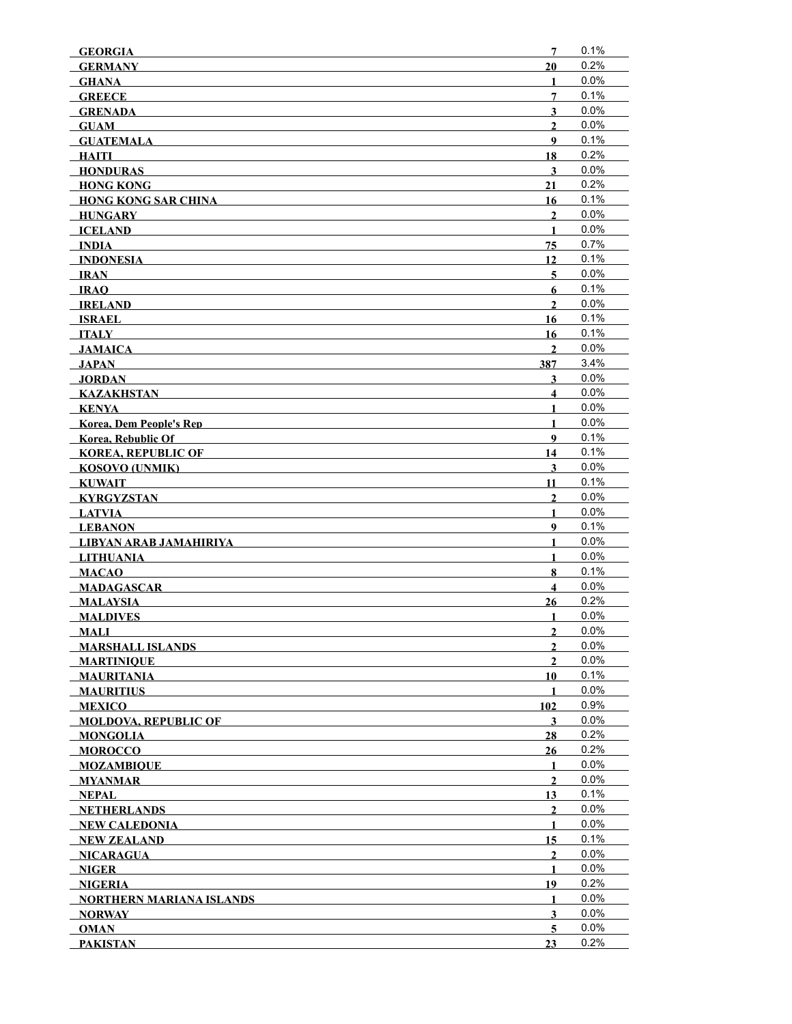| <b>GEORGIA</b>                  | 7                       | 0.1%    |
|---------------------------------|-------------------------|---------|
| <b>GERMANY</b>                  | 20                      | 0.2%    |
| <b>GHANA</b>                    | 1                       | 0.0%    |
| <b>GREECE</b>                   | 7                       | 0.1%    |
| <b>GRENADA</b>                  | $\overline{\mathbf{3}}$ | 0.0%    |
| <b>GUAM</b>                     | $\overline{2}$          | 0.0%    |
| <b>GUATEMALA</b>                | 9                       | 0.1%    |
| HAITI                           | 18                      | 0.2%    |
| <b>HONDURAS</b>                 | $\mathbf{3}$            | 0.0%    |
| <b>HONG KONG</b>                | 21                      | 0.2%    |
| <b>HONG KONG SAR CHINA</b>      | 16                      | 0.1%    |
| HUNGARY                         | $\overline{2}$          | 0.0%    |
| <b>ICELAND</b>                  | $\mathbf{1}$            | 0.0%    |
| <b>INDIA</b>                    | 75                      | 0.7%    |
| <b>INDONESIA</b>                | 12                      | 0.1%    |
| IRAN                            | $\overline{5}$          | 0.0%    |
| <b>IRAO</b>                     | 6                       | 0.1%    |
| <b>IRELAND</b>                  | $\mathbf{2}$            | 0.0%    |
| <b>ISRAEL</b>                   | 16                      | 0.1%    |
| <b>ITALY</b>                    | 16                      | 0.1%    |
| <b>JAMAICA</b>                  | $\overline{2}$          | 0.0%    |
| JAPAN                           | 387                     | 3.4%    |
| <b>JORDAN</b>                   | 3                       | 0.0%    |
| <b>KAZAKHSTAN</b>               | $\overline{\mathbf{4}}$ | 0.0%    |
| KENYA                           | $\mathbf{1}$            | 0.0%    |
| <b>Korea, Dem People's Rep</b>  | $\mathbf{1}$            | 0.0%    |
| <b>Korea, Rebublic Of</b>       | 9                       | 0.1%    |
| <b>KOREA, REPUBLIC OF</b>       | 14                      | 0.1%    |
| <b>KOSOVO (UNMIK)</b>           | 3                       | 0.0%    |
| <b>KUWAIT</b>                   | 11                      | 0.1%    |
| <b>KYRGYZSTAN</b>               | $\mathbf{2}$            | 0.0%    |
| LATVIA                          | 1                       | 0.0%    |
| <b>LEBANON</b>                  | 9                       | 0.1%    |
| LIBYAN ARAB JAMAHIRIYA          | 1                       | 0.0%    |
| <b>LITHUANIA</b>                | $\mathbf{1}$            | $0.0\%$ |
| <b>MACAO</b>                    | 8                       | 0.1%    |
| <b>MADAGASCAR</b>               | $\overline{\mathbf{4}}$ | 0.0%    |
| <b>MALAYSIA</b>                 | 26                      | 0.2%    |
| <b>MALDIVES</b>                 | 1                       | 0.0%    |
| <b>MALI</b>                     | $\overline{2}$          | 0.0%    |
| <b>MARSHALL ISLANDS</b>         | $\mathbf{2}$            | 0.0%    |
| <b>MARTINIOUE</b>               | $\mathbf{2}$            | $0.0\%$ |
| <b>MAURITANIA</b>               | 10                      | 0.1%    |
| <b>MAURITIUS</b>                | 1                       | 0.0%    |
| <b>MEXICO</b>                   | 102                     | 0.9%    |
| <b>MOLDOVA, REPUBLIC OF</b>     | 3                       | 0.0%    |
| <b>MONGOLIA</b>                 | 28                      | 0.2%    |
| <b>MOROCCO</b>                  | 26                      | 0.2%    |
| <b>MOZAMBIQUE</b>               | 1                       | 0.0%    |
| <b>MYANMAR</b>                  | $\mathbf{2}$            | 0.0%    |
| NEPAL                           | 13                      | 0.1%    |
| <b>NETHERLANDS</b>              | $\mathbf{2}$            | 0.0%    |
| <b>NEW CALEDONIA</b>            | 1                       | 0.0%    |
| <b>NEW ZEALAND</b>              | 15                      | 0.1%    |
| <b>NICARAGUA</b>                | 2                       | 0.0%    |
| <b>NIGER</b>                    | 1                       | 0.0%    |
| <b>NIGERIA</b>                  | 19                      | 0.2%    |
| <b>NORTHERN MARIANA ISLANDS</b> | 1                       | 0.0%    |
| <b>NORWAY</b>                   | $\mathbf{3}$            | $0.0\%$ |
| <b>OMAN</b>                     | 5                       | 0.0%    |
| <b>PAKISTAN</b>                 | 23                      | 0.2%    |
|                                 |                         |         |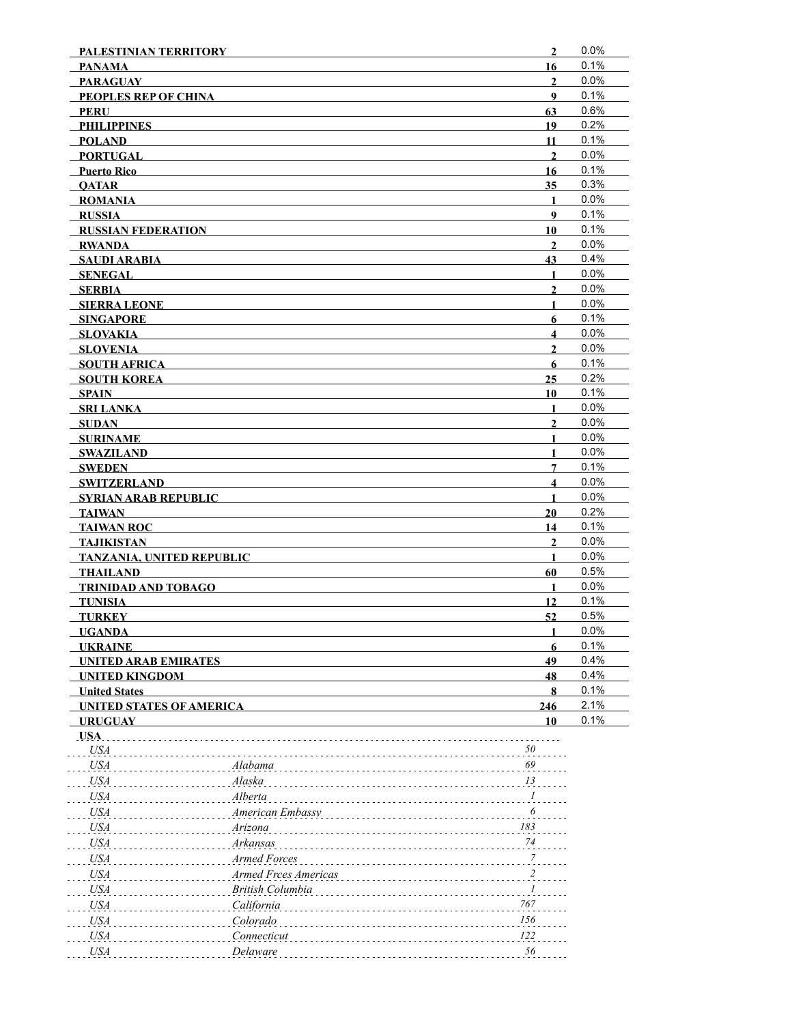| $\mathbf{2}$     | 0.0%                                                                                                                                                                                                                                                                                                                     |
|------------------|--------------------------------------------------------------------------------------------------------------------------------------------------------------------------------------------------------------------------------------------------------------------------------------------------------------------------|
| 16               | 0.1%                                                                                                                                                                                                                                                                                                                     |
| $\overline{2}$   | 0.0%                                                                                                                                                                                                                                                                                                                     |
| $\boldsymbol{9}$ | 0.1%                                                                                                                                                                                                                                                                                                                     |
| 63               | 0.6%                                                                                                                                                                                                                                                                                                                     |
| 19               | 0.2%                                                                                                                                                                                                                                                                                                                     |
| 11               | 0.1%                                                                                                                                                                                                                                                                                                                     |
| $\mathbf{2}$     | 0.0%                                                                                                                                                                                                                                                                                                                     |
| 16               | 0.1%                                                                                                                                                                                                                                                                                                                     |
| 35               | 0.3%                                                                                                                                                                                                                                                                                                                     |
| $\mathbf{1}$     | 0.0%                                                                                                                                                                                                                                                                                                                     |
| 9                | 0.1%                                                                                                                                                                                                                                                                                                                     |
| 10               | 0.1%                                                                                                                                                                                                                                                                                                                     |
| $\overline{2}$   | 0.0%                                                                                                                                                                                                                                                                                                                     |
| 43               | 0.4%                                                                                                                                                                                                                                                                                                                     |
| 1                | 0.0%                                                                                                                                                                                                                                                                                                                     |
|                  | 0.0%                                                                                                                                                                                                                                                                                                                     |
| 1                | 0.0%                                                                                                                                                                                                                                                                                                                     |
|                  | 0.1%                                                                                                                                                                                                                                                                                                                     |
| 4                | 0.0%                                                                                                                                                                                                                                                                                                                     |
|                  | 0.0%                                                                                                                                                                                                                                                                                                                     |
|                  | 0.1%                                                                                                                                                                                                                                                                                                                     |
|                  | 0.2%                                                                                                                                                                                                                                                                                                                     |
|                  | 0.1%                                                                                                                                                                                                                                                                                                                     |
|                  | 0.0%                                                                                                                                                                                                                                                                                                                     |
|                  | 0.0%                                                                                                                                                                                                                                                                                                                     |
|                  | 0.0%                                                                                                                                                                                                                                                                                                                     |
|                  |                                                                                                                                                                                                                                                                                                                          |
|                  | 0.0%                                                                                                                                                                                                                                                                                                                     |
|                  | 0.1%                                                                                                                                                                                                                                                                                                                     |
|                  | 0.0%                                                                                                                                                                                                                                                                                                                     |
|                  | 0.0%                                                                                                                                                                                                                                                                                                                     |
|                  | 0.2%                                                                                                                                                                                                                                                                                                                     |
|                  | 0.1%                                                                                                                                                                                                                                                                                                                     |
|                  | 0.0%                                                                                                                                                                                                                                                                                                                     |
|                  | 0.0%                                                                                                                                                                                                                                                                                                                     |
|                  | 0.5%                                                                                                                                                                                                                                                                                                                     |
|                  | 0.0%                                                                                                                                                                                                                                                                                                                     |
|                  | 0.1%                                                                                                                                                                                                                                                                                                                     |
|                  | 0.5%                                                                                                                                                                                                                                                                                                                     |
| 1                | 0.0%                                                                                                                                                                                                                                                                                                                     |
| 6                | 0.1%                                                                                                                                                                                                                                                                                                                     |
| 49               | 0.4%                                                                                                                                                                                                                                                                                                                     |
| 48               | 0.4%                                                                                                                                                                                                                                                                                                                     |
| 8                | 0.1%                                                                                                                                                                                                                                                                                                                     |
| 246              | 2.1%                                                                                                                                                                                                                                                                                                                     |
| 10               | 0.1%                                                                                                                                                                                                                                                                                                                     |
|                  |                                                                                                                                                                                                                                                                                                                          |
| 50               |                                                                                                                                                                                                                                                                                                                          |
| 69               |                                                                                                                                                                                                                                                                                                                          |
| 13               |                                                                                                                                                                                                                                                                                                                          |
|                  |                                                                                                                                                                                                                                                                                                                          |
| 6                |                                                                                                                                                                                                                                                                                                                          |
|                  |                                                                                                                                                                                                                                                                                                                          |
|                  |                                                                                                                                                                                                                                                                                                                          |
|                  |                                                                                                                                                                                                                                                                                                                          |
|                  |                                                                                                                                                                                                                                                                                                                          |
|                  |                                                                                                                                                                                                                                                                                                                          |
|                  |                                                                                                                                                                                                                                                                                                                          |
|                  |                                                                                                                                                                                                                                                                                                                          |
| 156              |                                                                                                                                                                                                                                                                                                                          |
| 122              |                                                                                                                                                                                                                                                                                                                          |
| 56               |                                                                                                                                                                                                                                                                                                                          |
|                  | $\mathbf{2}$<br>6<br>$\mathbf{2}$<br>$6\phantom{1}$<br>25<br>10<br>$\mathbf{1}$<br>$\overline{2}$<br>1<br>1<br>7<br>$\overline{\mathbf{4}}$<br>1<br>20<br>14<br>$\overline{2}$<br>$\mathbf{1}$<br>60<br>1<br>12<br>52<br>$\ldots$ <sup>1</sup><br>183<br>74<br>$\frac{7}{2}$<br>$\frac{2}{2}$<br>$\boldsymbol{l}$<br>767 |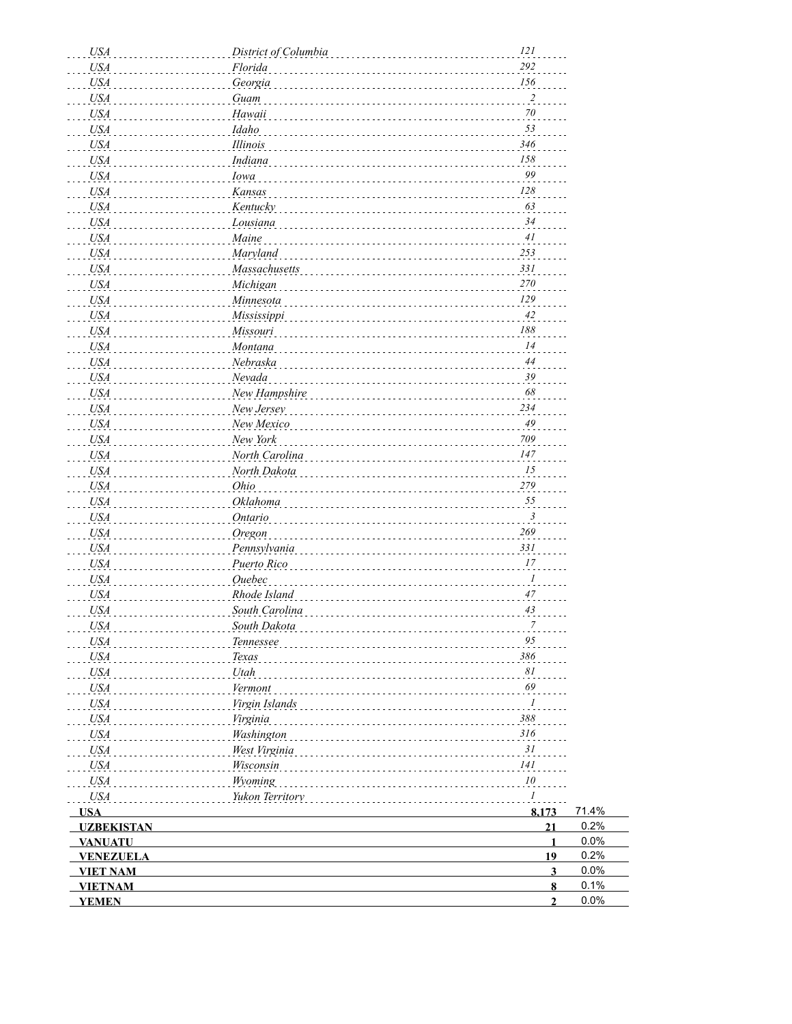| <b>USA</b>        | District of Columbia | 121                     |
|-------------------|----------------------|-------------------------|
| <b>USA</b>        | Florida              | 292                     |
| USA               | Georgia              | 156                     |
| <b>USA</b>        | Guam                 | $\overline{\mathbf{c}}$ |
| <b>USA</b>        | Hawaii               | $\frac{70}{10}$         |
| <b>USA</b>        | Idaho                | 53                      |
| <b>USA</b>        | Illinois             | 346                     |
| <b>USA</b>        | Indiana              | 158                     |
| <b>USA</b>        | Iowa                 | 99                      |
| <b>USA</b>        | Kansas               | 128                     |
| <b>USA</b>        | Kentucky             | 63                      |
| <b>USA</b>        | Lousiana             | 34                      |
| <b>USA</b>        | Maine                | 41                      |
| <b>USA</b>        | Maryland             | 253                     |
| <b>USA</b>        | Massachusetts        | 331                     |
| <b>USA</b>        | Michigan             | 270                     |
| <b>USA</b>        | Minnesota            | 129                     |
| <b>USA</b>        | Mississippi          | 42                      |
| <b>USA</b>        | Missouri             | 188                     |
| <b>USA</b>        | Montana              | 14                      |
| <b>USA</b>        | Nebraska             | $44$                    |
| <b>USA</b>        | Nevada               | 39                      |
| <b>USA</b>        | New Hampshire        | 68                      |
| <b>USA</b>        | New Jersey           | 234                     |
| <b>USA</b>        | New Mexico           | 49                      |
| <b>USA</b>        | New York             | 709                     |
| <b>USA</b>        | North Carolina       | 147                     |
| <b>USA</b>        | North Dakota         | 15                      |
| <b>USA</b>        | Ohio                 | 279                     |
| <b>USA</b>        | Oklahoma             | 55                      |
| <b>USA</b>        | <b>Ontario</b>       | $\mathfrak{Z}$          |
| <b>USA</b>        | Oregon               | 269                     |
| <b>USA</b>        | Pennsylvania         | 331                     |
| <b>USA</b>        | Puerto Rico          | 17                      |
| <b>USA</b>        | <b>Ouebec</b>        | $\mathcal{I}$           |
| <b>USA</b>        | Rhode Island         | 47                      |
| <b>USA</b>        | South Carolina       | 43                      |
| <b>USA</b>        | South Dakota         |                         |
| USA               | Tennessee            | 95                      |
| <b>USA</b>        | Texas                | 386                     |
| <b>USA</b>        | Utah                 | 81                      |
| <b>USA</b>        | Vermont              | 69                      |
| <b>USA</b>        | Virgin Islands       | $\mathcal{I}$           |
| <b>USA</b>        | Virginia             | 388                     |
| <b>USA</b>        | Washington           | 316                     |
| <b>USA</b>        | West Virginia        | 31                      |
| <b>USA</b>        | Wisconsin            | 141                     |
| <b>USA</b>        | Wyoming              | 10                      |
| <b>USA</b>        | Yukon Territory      | $\mathcal{I}$           |
| <b>USA</b>        |                      | 71.4%<br>8,173          |
| <b>UZBEKISTAN</b> |                      | 0.2%<br>21              |
| <b>VANUATU</b>    |                      | 0.0%<br>$\mathbf{1}$    |
| <b>VENEZUELA</b>  |                      | 0.2%<br>19              |
| <b>VIET NAM</b>   |                      | 0.0%<br>$\mathbf{3}$    |
| <b>VIETNAM</b>    |                      | 0.1%<br>$\bf{8}$        |
| <b>YEMEN</b>      |                      | 0.0%<br>$\overline{2}$  |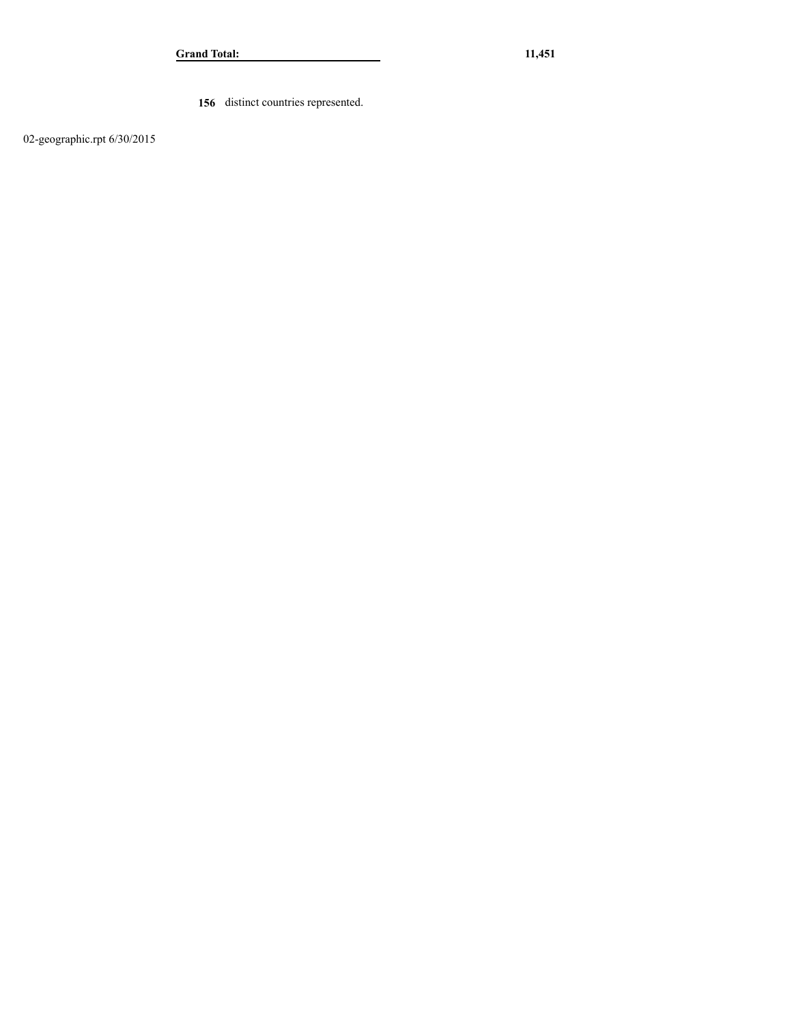**156** distinct countries represented.

02-geographic.rpt 6/30/2015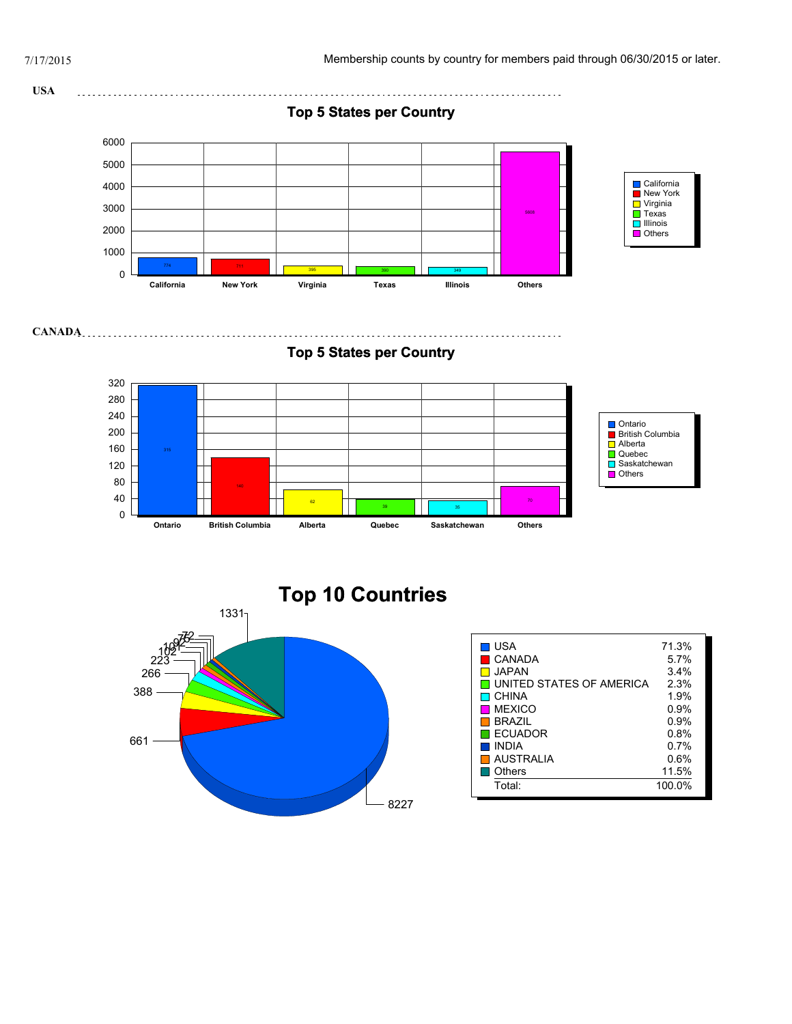



| <b>USA</b>               | 71.3%   |
|--------------------------|---------|
| CANADA                   | 5.7%    |
| JAPAN.                   | 3.4%    |
| UNITED STATES OF AMERICA | 2.3%    |
| $\blacksquare$ CHINA     | 1.9%    |
| <b>MEXICO</b>            | $0.9\%$ |
| <b>BRAZIL</b>            | 0.9%    |
| I ECUADOR                | $0.8\%$ |
| <b>INDIA</b>             | $0.7\%$ |
| AUSTRALIA                | $0.6\%$ |
| Others                   | 11.5%   |
| Total:                   | 100.0%  |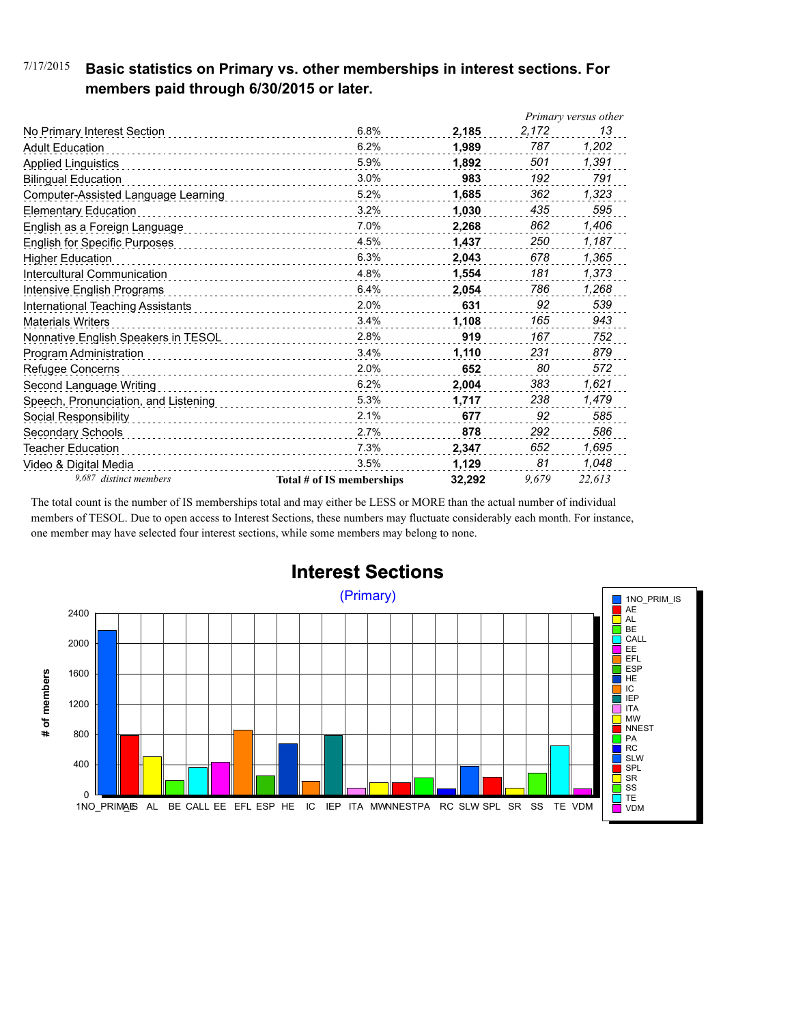#### 7/17/2015 **Basic statistics on Primary vs. other memberships in interest sections. For members paid through 6/30/2015 or later.**

|                                      |                           |        | Primary versus other |        |
|--------------------------------------|---------------------------|--------|----------------------|--------|
| No Primary Interest Section          | 6.8%                      | 2,185  | 2,172                | 13     |
| <b>Adult Education</b>               | 6.2%                      | 1.989  | 787                  | 1,202  |
| <b>Applied Linguistics</b>           | 5.9%                      | 1,892  | 501                  | 1,391  |
| <b>Bilingual Education</b>           | 3.0%                      | 983    | 192                  | 791    |
| Computer-Assisted Language Learning  | 5.2%                      | 1,685  | 362                  | 1,323  |
| <b>Elementary Education</b>          | 3.2%                      | 1,030  | 435                  | 595    |
| English as a Foreign Language        | 7.0%                      | 2.268  | 862                  | 1,406  |
| <b>English for Specific Purposes</b> | 4.5%                      | 1.437  | 250                  | 1,187  |
| <b>Higher Education</b>              | 6.3%                      | 2,043  | 678                  | 1,365  |
| Intercultural Communication          | 4.8%                      | 1,554  | 181                  | 1,373  |
| Intensive English Programs           | 6.4%                      | 2,054  | 786                  | 1,268  |
| International Teaching Assistants    | 2.0%                      | 631    | 92                   | 539    |
| <b>Materials Writers</b>             | 3.4%<br>.                 | 1,108  | 165                  | 943    |
| Nonnative English Speakers in TESOL  | 2.8%                      | 919    | 167                  | 752    |
| Program Administration               | 3.4%                      | 1,110  | 231                  | 879    |
| Refugee Concerns                     | 2.0%                      | 652    | 80                   | 572    |
| Second Language Writing              | 6.2%                      | 2,004  | 383                  | 1,621  |
| Speech, Pronunciation, and Listening | 5.3%                      | 1,717  | 238                  | 1,479  |
| Social Responsibility                | 2.1%                      | 677    | 92                   | 585    |
| Secondary Schools                    | 2.7%                      | 878    | 292                  | 586    |
| Teacher Education                    | 7.3%                      | 2,347  | 652                  | 1,695  |
| Video & Digital Media                | 3.5%                      | 1,129  | 81                   | 1,048  |
| 9,687 distinct members               | Total # of IS memberships | 32.292 | 9.679                | 22,613 |

The total count is the number of IS memberships total and may either be LESS or MORE than the actual number of individual members of TESOL. Due to open access to Interest Sections, these numbers may fluctuate considerably each month. For instance, one member may have selected four interest sections, while some members may belong to none.



## **Interest Sections**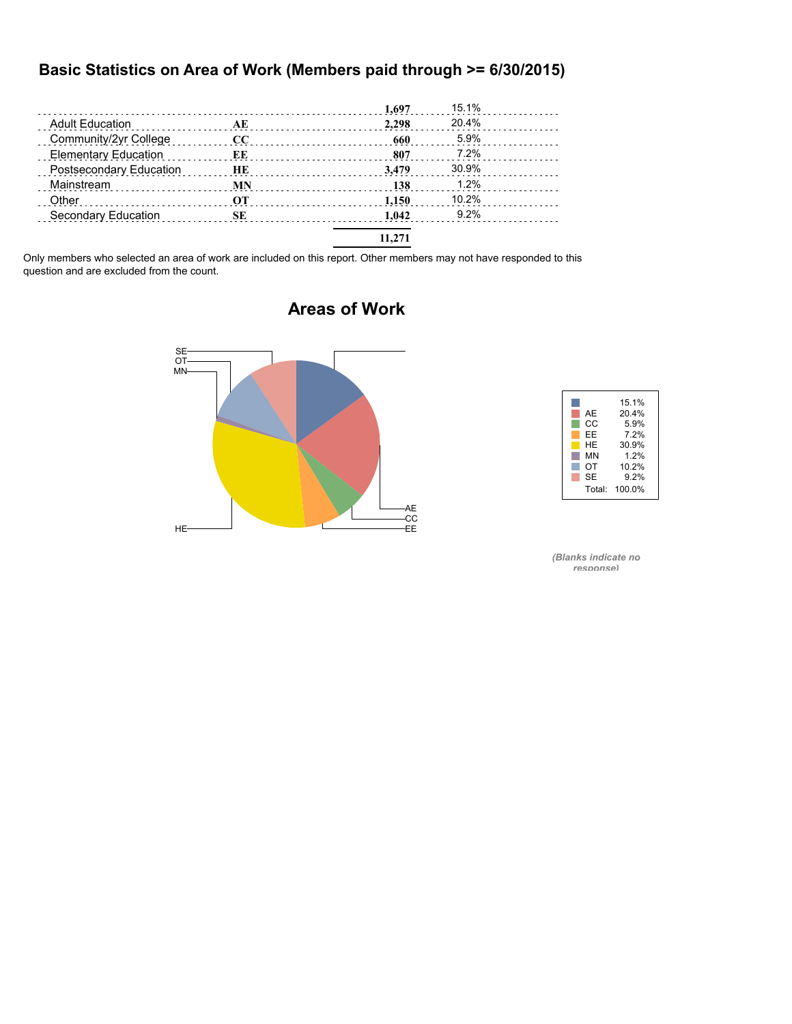#### **Basic Statistics on Area of Work (Members paid through >= 6/30/2015)**

|                             |           | 1,697  | 15.1% |  |
|-----------------------------|-----------|--------|-------|--|
| <b>Adult Education</b>      | AE        | 2.298  | 20.4% |  |
| Community/2yr College       | $\bf CC$  | 660    | 5.9%  |  |
| <b>Elementary Education</b> | EЕ        | 807    | 7.2%  |  |
| Postsecondary Education     | <b>HE</b> | 3.479  | 30.9% |  |
| Mainstream                  | MN        | 138    | 1.2%  |  |
| Other                       | OТ        | 1.150  | 10.2% |  |
| Secondary Education         | SE        | 1.042  | 9.2%  |  |
|                             |           | 11,271 |       |  |

Only members who selected an area of work are included on this report. Other members may not have responded to this question and are excluded from the count.

# AE -CC<br>-EE  $HE$  and  $E$  is a set of  $E$  is a set of  $E$  is a set of  $E$  is a set of  $E$  is a set of  $E$  is a set of  $E$  is a set of  $E$  is a set of  $E$  is a set of  $E$  is a set of  $E$  is a set of  $E$  is a set of  $E$  is a set of  $E$  i MN OT SE



*(Blanks indicate no response)*

### **Areas of Work**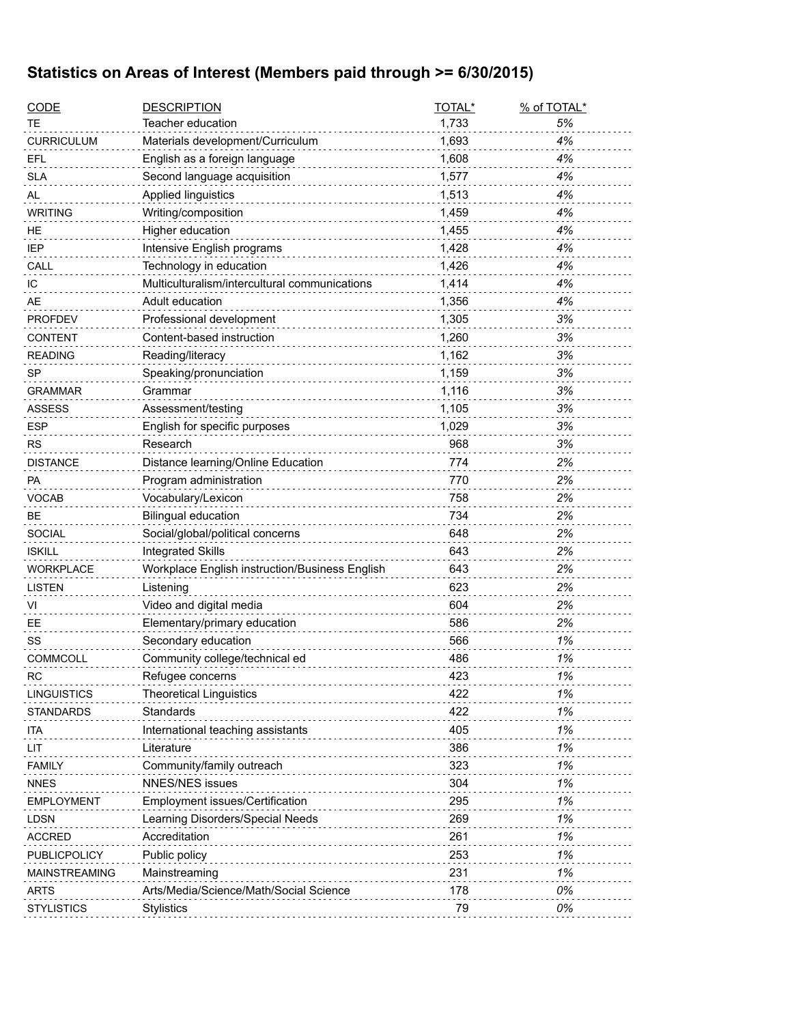## **Statistics on Areas of Interest (Members paid through >= 6/30/2015)**

| <b>CODE</b>          | <b>DESCRIPTION</b>                             | TOTAL* | % of TOTAL* |
|----------------------|------------------------------------------------|--------|-------------|
| TE                   | Teacher education                              | 1,733  | 5%          |
| <b>CURRICULUM</b>    | Materials development/Curriculum               | 1,693  | 4%          |
| EFL                  | English as a foreign language                  | 1,608  | 4%          |
| <b>SLA</b>           | Second language acquisition                    | 1,577  | 4%          |
| AL                   | Applied linguistics                            | 1,513  | 4%          |
| <b>WRITING</b>       | Writing/composition                            | 1,459  | 4%          |
| HE                   | Higher education                               | 1,455  | 4%          |
| IEP                  | Intensive English programs                     | 1,428  | 4%          |
| CALL                 | Technology in education                        | 1,426  | 4%          |
| IС                   | Multiculturalism/intercultural communications  | 1,414  | 4%          |
| AE                   | Adult education                                | 1,356  | 4%          |
| <b>PROFDEV</b>       | Professional development                       | 1,305  | 3%          |
| <b>CONTENT</b>       | Content-based instruction                      | 1,260  | 3%          |
| <b>READING</b>       | Reading/literacy                               | 1,162  | 3%          |
| SP                   | Speaking/pronunciation                         | 1,159  | 3%          |
| <b>GRAMMAR</b>       | Grammar                                        | 1,116  | 3%          |
| <b>ASSESS</b>        | Assessment/testing                             | 1,105  | 3%          |
| <b>ESP</b>           | English for specific purposes                  | 1,029  | 3%          |
| <b>RS</b>            | Research                                       | 968    | 3%          |
| <b>DISTANCE</b>      | Distance learning/Online Education             | 774    | 2%          |
| PA                   | Program administration                         | 770    | 2%          |
| <b>VOCAB</b>         | Vocabulary/Lexicon                             | 758    | 2%          |
| <b>BE</b>            | <b>Bilingual education</b>                     | 734    | 2%          |
| <b>SOCIAL</b>        | Social/global/political concerns               | 648    | 2%          |
| <b>ISKILL</b>        | <b>Integrated Skills</b>                       | 643    | 2%          |
| <b>WORKPLACE</b>     | Workplace English instruction/Business English | 643    | 2%          |
| <b>LISTEN</b>        | Listening                                      | 623    | 2%          |
| VI                   | Video and digital media                        | 604    | 2%          |
| EE                   | Elementary/primary education                   | 586    | 2%          |
| SS                   | Secondary education                            | 566    | 1%          |
| <b>COMMCOLL</b>      | Community college/technical ed                 | 486    | 1%          |
| <b>RC</b>            | Refugee concerns                               | 423    | 1%          |
| <b>LINGUISTICS</b>   | <b>Theoretical Linguistics</b>                 | 422    | 1%          |
| <b>STANDARDS</b>     | Standards                                      | 422    | 1%          |
| ita                  | International teaching assistants              | 405    | 1%          |
| LIT                  | Literature                                     | 386    | 1%          |
| <b>FAMILY</b>        | Community/family outreach                      | 323    | 1%          |
| <b>NNES</b>          | <b>NNES/NES issues</b>                         | 304    | 1%          |
| <b>EMPLOYMENT</b>    | Employment issues/Certification                | 295    | 1%          |
| <b>LDSN</b>          | Learning Disorders/Special Needs               | 269    | 1%          |
| <b>ACCRED</b>        | Accreditation                                  | 261    | 1%          |
| PUBLICPOLICY         | Public policy                                  | 253    | 1%          |
| <b>MAINSTREAMING</b> | Mainstreaming                                  | 231    | 1%          |
| <b>ARTS</b>          | Arts/Media/Science/Math/Social Science         | 178    | 0%          |
| <b>STYLISTICS</b>    | <b>Stylistics</b>                              | 79     | 0%          |
|                      |                                                |        |             |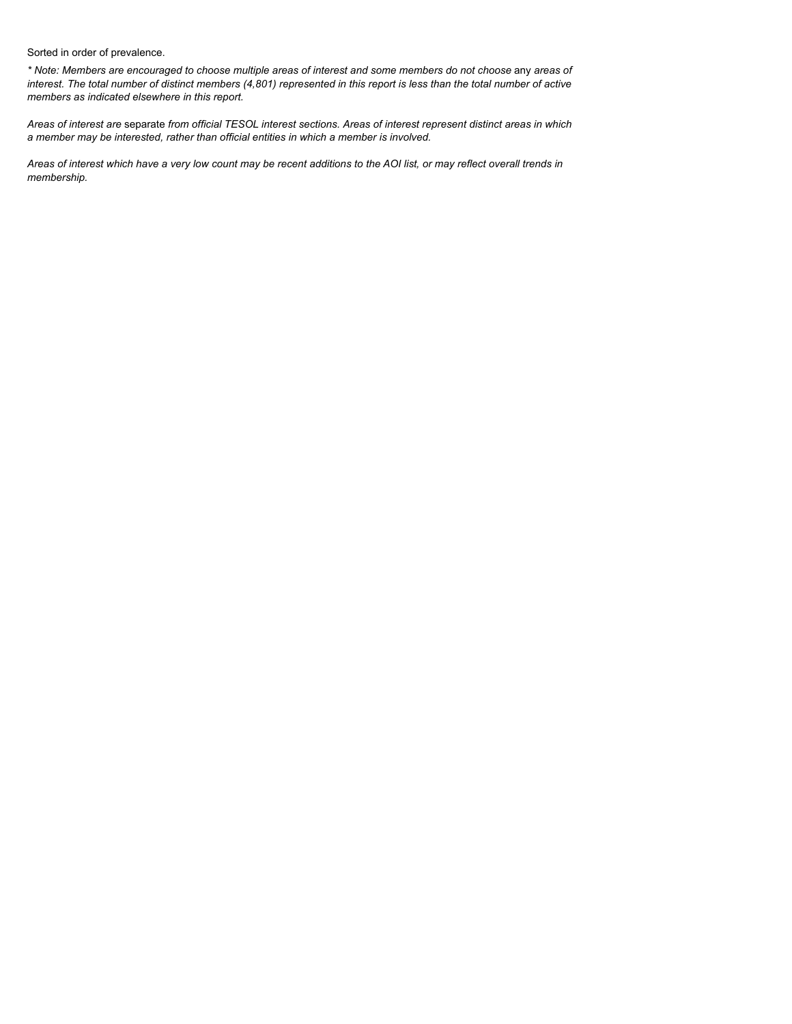Sorted in order of prevalence.

*\* Note: Members are encouraged to choose multiple areas of interest and some members do not choose* any *areas of interest. The total number of distinct members (4,801) represented in this report is less than the total number of active members as indicated elsewhere in this report.*

*Areas of interest are* separate *from official TESOL interest sections. Areas of interest represent distinct areas in which a member may be interested, rather than official entities in which a member is involved.*

*Areas of interest which have a very low count may be recent additions to the AOI list, or may reflect overall trends in membership.*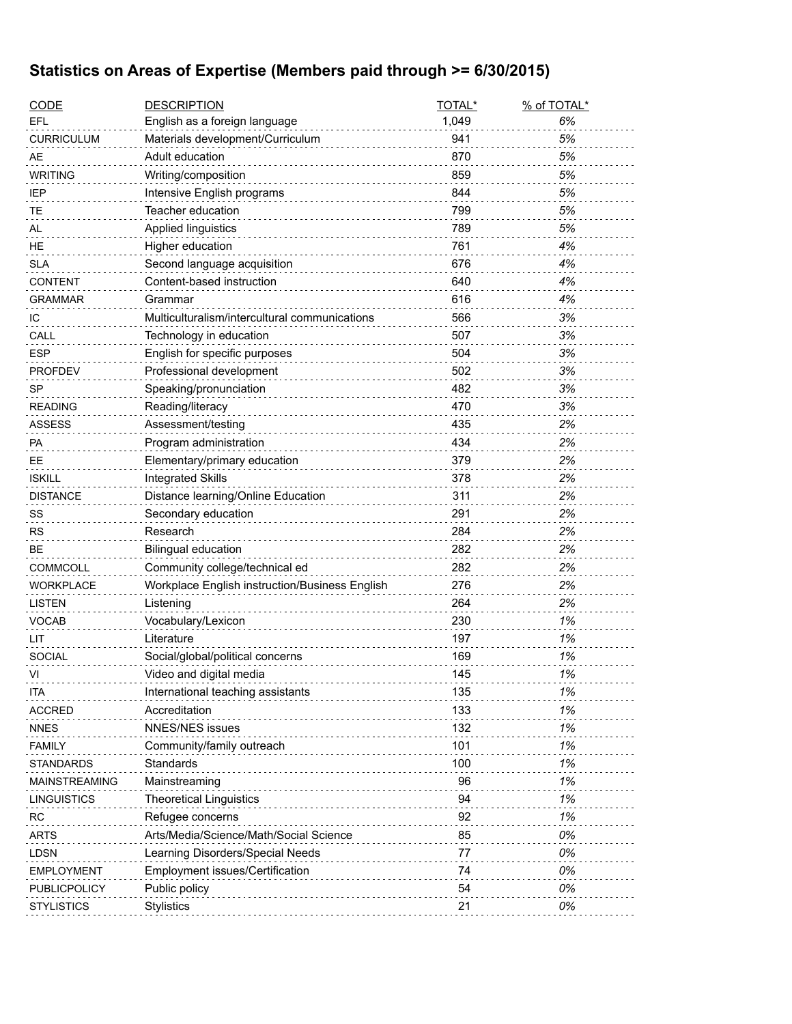## **Statistics on Areas of Expertise (Members paid through >= 6/30/2015)**

| <b>CODE</b>        | <b>DESCRIPTION</b>                                         | TOTAL*   | % of TOTAL* |
|--------------------|------------------------------------------------------------|----------|-------------|
| EFL                | English as a foreign language                              | 1,049    | 6%          |
| <b>CURRICULUM</b>  | Materials development/Curriculum                           | 941      | 5%          |
| AE                 | Adult education                                            | 870      | 5%          |
| <b>WRITING</b>     | Writing/composition                                        | 859      | 5%          |
| IEP                | Intensive English programs                                 | 844      | 5%          |
| TЕ                 | Teacher education                                          | 799      | 5%          |
| AL                 | Applied linguistics                                        | 789      | 5%          |
| HE                 | Higher education                                           | 761      | 4%          |
| <b>SLA</b>         | Second language acquisition                                | 676      | 4%          |
| <b>CONTENT</b>     | Content-based instruction                                  | 640      | 4%          |
| GRAMMAR            | Grammar                                                    | 616      | 4%          |
| ТC                 | Multiculturalism/intercultural communications              | 566      | 3%          |
| CALL               | Technology in education                                    | 507      | 3%          |
| <b>ESP</b>         | English for specific purposes                              | 504      | 3%          |
| <b>PROFDEV</b>     | Professional development                                   | 502      | 3%          |
| <b>SP</b>          | Speaking/pronunciation                                     | 482      | 3%          |
| <b>READING</b>     | Reading/literacy                                           | 470      | 3%          |
| <b>ASSESS</b>      | Assessment/testing                                         | 435      | 2%          |
| PA                 | Program administration                                     | 434      | 2%          |
| EЕ                 | Elementary/primary education                               | 379      | 2%          |
| <b>ISKILL</b>      | <b>Integrated Skills</b>                                   | 378      | 2%          |
| <b>DISTANCE</b>    | Distance learning/Online Education                         | 311      | 2%          |
| SS                 | Secondary education                                        | 291      | 2%          |
| <b>RS</b>          | Research                                                   | 284      | 2%          |
| BЕ                 | <b>Bilingual education</b>                                 | 282      | 2%          |
| <b>COMMCOLL</b>    | Community college/technical ed                             | 282      | 2%          |
| <b>WORKPLACE</b>   | Workplace English instruction/Business English             | 276      | 2%          |
| LISTEN             | Listening                                                  | 264      | 2%          |
| <b>VOCAB</b>       | Vocabulary/Lexicon                                         | 230      | 1%          |
| LIT                | Literature                                                 | 197      | 1%          |
| <b>SOCIAL</b>      | Social/global/political concerns                           | 169      | 1%          |
| VI                 | Video and digital media                                    | 145      | 1%          |
| ITA                | International teaching assistants                          | 135      | 1%          |
| <b>ACCRED</b>      | Accreditation                                              | 133      | 1%          |
| <b>NNES</b>        | <b>NNES/NES issues</b>                                     | 132      | 1%          |
| <b>FAMILY</b>      | Community/family outreach                                  | 101      | 1%          |
| <b>STANDARDS</b>   | Standards                                                  | 100      | 1%          |
|                    | Mainstreaming                                              | 96       | 1%          |
| MAINSTREAMING      | <b>Theoretical Linguistics</b>                             | 94       | 1%          |
| <b>LINGUISTICS</b> |                                                            | 92       | 1%          |
| RC                 | Refugee concerns<br>Arts/Media/Science/Math/Social Science |          |             |
| <b>ARTS</b>        |                                                            | 85       | 0%          |
| <b>LDSN</b>        | Learning Disorders/Special Needs                           | 77<br>74 | 0%          |
| <b>EMPLOYMENT</b>  | Employment issues/Certification                            |          | 0%          |
| PUBLICPOLICY       | Public policy                                              | 54       | 0%          |
| <b>STYLISTICS</b>  | <b>Stylistics</b>                                          | 21       | 0%          |